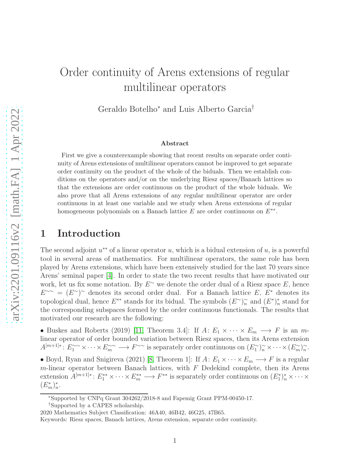# Order continuity of Arens extensions of regular multilinear operators

Geraldo Botelho<sup>∗</sup> and Luis Alberto Garcia†

#### Abstract

First we give a counterexample showing that recent results on separate order continuity of Arens extensions of multilinear operators cannot be improved to get separate order continuity on the product of the whole of the biduals. Then we establish conditions on the operators and/or on the underlying Riesz spaces/Banach lattices so that the extensions are order continuous on the product of the whole biduals. We also prove that all Arens extensions of any regular multilinear operator are order continuous in at least one variable and we study when Arens extensions of regular homogeneous polynomials on a Banach lattice  $E$  are order continuous on  $E^{**}$ .

### 1 Introduction

The second adjoint  $u^{**}$  of a linear operator u, which is a bidual extension of u, is a powerful tool in several areas of mathematics. For multilinear operators, the same role has been played by Arens extensions, which have been extensively studied for the last 70 years since Arens' seminal paper [\[4\]](#page-19-0). In order to state the two recent results that have motivated our work, let us fix some notation. By  $E^{\sim}$  we denote the order dual of a Riesz space E, hence  $E^{\sim} = (E^{\sim})^{\sim}$  denotes its second order dual. For a Banach lattice E,  $E^*$  denotes its topological dual, hence  $E^{**}$  stands for its bidual. The symbols  $(E^{\sim})_{n}^{\sim}$  and  $(E^*)_{n}^*$  stand for the corresponding subspaces formed by the order continuous functionals. The results that motivated our research are the following:

• Buskes and Roberts (2019) [\[11,](#page-19-1) Theorem 3.4]: If  $A: E_1 \times \cdots \times E_m \longrightarrow F$  is an mlinear operator of order bounded variation between Riesz spaces, then its Arens extension  $A^{[m+1]*}: E^{\sim\sim}_1 \times \cdots \times E^{\sim\sim}_m \longrightarrow F^{\sim\sim}$  is separately order continuous on  $(E^{\sim}_1)^{\sim}_n \times \cdots \times (E^{\sim}_m)^{\sim}_n$ .

• Boyd, Ryan and Snigireva (2021) [\[8,](#page-19-2) Theorem 1]: If  $A: E_1 \times \cdots \times E_m \longrightarrow F$  is a regular  $m$ -linear operator between Banach lattices, with  $F$  Dedekind complete, then its Arens extension  $A^{[m+1]*}: E_1^{**} \times \cdots \times E_m^{**} \longrightarrow F^{**}$  is separately order continuous on  $(E_1^*)_n^* \times \cdots \times$  $(E_m^*)^*_n$ .

<sup>∗</sup>Supported by CNPq Grant 304262/2018-8 and Fapemig Grant PPM-00450-17.

<sup>†</sup>Supported by a CAPES scholarship.

<sup>2020</sup> Mathematics Subject Classification: 46A40, 46B42, 46G25, 47B65.

Keywords: Riesz spaces, Banach lattices, Arens extension, separate order continuity.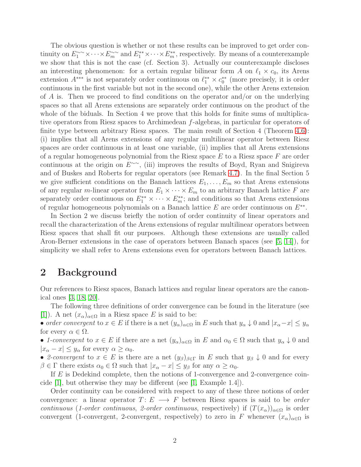The obvious question is whether or not these results can be improved to get order continuity on  $E_1^{\sim\sim}\times\cdots\times E_m^{\sim\sim}$  and  $E_1^{**}\times\cdots\times E_m^{**}$ , respectively. By means of a counterexample we show that this is not the case (cf. Section 3). Actually our counterexample discloses an interesting phenomenon: for a certain regular bilinear form A on  $\ell_1 \times c_0$ , its Arens extension  $A^{***}$  is not separately order continuous on  $\ell_1^{**} \times c_0^{**}$  (more precisely, it is order continuous in the first variable but not in the second one), while the other Arens extension of A is. Then we proceed to find conditions on the operator and/or on the underlying spaces so that all Arens extensions are separately order continuous on the product of the whole of the biduals. In Section 4 we prove that this holds for finite sums of multiplicative operators from Riesz spaces to Archimedean f-algebras, in particular for operators of finite type between arbitrary Riesz spaces. The main result of Section 4 (Theorem [4.6\)](#page-8-0): (i) implies that all Arens extensions of any regular multilinear operator between Riesz spaces are order continuous in at least one variable, (ii) implies that all Arens extensions of a regular homogeneous polynomial from the Riesz space  $E$  to a Riesz space  $F$  are order continuous at the origin on  $E^{\sim}$ , (iii) improves the results of Boyd, Ryan and Snigireva and of Buskes and Roberts for regular operators (see Remark [4.7\)](#page-9-0). In the final Section 5 we give sufficient conditions on the Banach lattices  $E_1, \ldots, E_m$  so that Arens extensions of any regular m-linear operator from  $E_1 \times \cdots \times E_m$  to an arbitrary Banach lattice F are separately order continuous on  $E_1^{**} \times \cdots \times E_m^{**}$ ; and conditions so that Arens extensions of regular homogeneous polynomials on a Banach lattice  $E$  are order continuous on  $E^{**}$ .

In Section 2 we discuss briefly the notion of order continuity of linear operators and recall the characterization of the Arens extensions of regular multilinear operators between Riesz spaces that shall fit our purposes. Although these extensions are usually called Aron-Berner extensions in the case of operators between Banach spaces (see [\[5,](#page-19-3) [14\]](#page-20-0)), for simplicity we shall refer to Arens extensions even for operators between Banach lattices.

### 2 Background

Our references to Riesz spaces, Banach lattices and regular linear operators are the canonical ones [\[3,](#page-19-4) [18,](#page-20-1) [20\]](#page-20-2).

The following three definitions of order convergence can be found in the literature (see [\[1\]](#page-19-5)). A net  $(x_{\alpha})_{\alpha \in \Omega}$  in a Riesz space E is said to be:

• *order convergent* to  $x \in E$  if there is a net  $(y_\alpha)_{\alpha \in \Omega}$  in E such that  $y_\alpha \downarrow 0$  and  $|x_\alpha - x| \leq y_\alpha$ for every  $\alpha \in \Omega$ .

• *1-convergent* to  $x \in E$  if there are a net  $(y_\alpha)_{\alpha \in \Omega}$  in E and  $\alpha_0 \in \Omega$  such that  $y_\alpha \downarrow 0$  and  $|x_{\alpha}-x| \leq y_{\alpha}$  for every  $\alpha \geq \alpha_0$ .

• 2-convergent to  $x \in E$  is there are a net  $(y_{\beta})_{\beta \in \Gamma}$  in E such that  $y_{\beta} \downarrow 0$  and for every  $\beta \in \Gamma$  there exists  $\alpha_0 \in \Omega$  such that  $|x_\alpha - x| \leq y_\beta$  for any  $\alpha \geq \alpha_0$ .

If E is Dedekind complete, then the notions of 1-convergence and 2-convergence coincide [\[1\]](#page-19-5), but otherwise they may be different (see [\[1,](#page-19-5) Example 1.4]).

Order continuity can be considered with respect to any of these three notions of order convergence: a linear operator  $T: E \longrightarrow F$  between Riesz spaces is said to be *order continuous* (*1-order continuous*, *2-order continuous*, respectively) if  $(T(x<sub>\alpha</sub>))_{\alpha \in \Omega}$  is order convergent (1-convergent, 2-convergent, respectively) to zero in F whenever  $(x_{\alpha})_{\alpha \in \Omega}$  is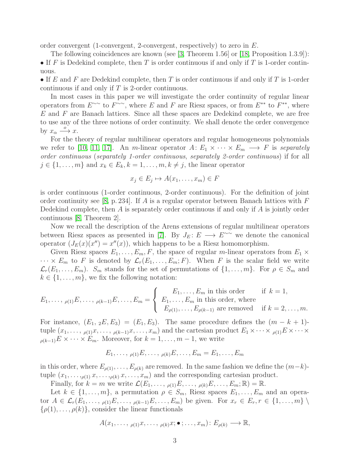order convergent (1-convergent, 2-convergent, respectively) to zero in  $E$ .

The following coincidences are known (see [\[3,](#page-19-4) Theorem 1.56] or [\[18,](#page-20-1) Proposition 1.3.9]): • If F is Dedekind complete, then T is order continuous if and only if T is 1-order continuous.

• If E and F are Dedekind complete, then T is order continuous if and only if T is 1-order continuous if and only if T is 2-order continuous.

In most cases in this paper we will investigate the order continuity of regular linear operators from  $E^{\sim\sim}$  to  $F^{\sim\sim}$ , where E and F are Riesz spaces, or from  $E^{**}$  to  $F^{**}$ , where  $E$  and  $F$  are Banach lattices. Since all these spaces are Dedekind complete, we are free to use any of the three notions of order continuity. We shall denote the order convergence by  $x_{\alpha} \stackrel{o}{\longrightarrow} x$ .

For the theory of regular multilinear operators and regular homogeneous polynomials we refer to [\[10,](#page-19-6) [11,](#page-19-1) [17\]](#page-20-3). An m-linear operator  $A: E_1 \times \cdots \times E_m \longrightarrow F$  is *separately order continuous* (*separately 1-order continuous*, *separately 2-order continuous*) if for all  $j \in \{1, \ldots, m\}$  and  $x_k \in E_k, k = 1, \ldots, m, k \neq j$ , the linear operator

$$
x_j \in E_j \mapsto A(x_1, \dots, x_m) \in F
$$

is order continuous (1-order continuous, 2-order continuous). For the definition of joint order continuity see [\[8,](#page-19-2) p. 234]. If A is a regular operator between Banach lattices with  $F$ Dedekind complete, then  $A$  is separately order continuous if and only if  $A$  is jointly order continuous [\[8,](#page-19-2) Theorem 2].

Now we recall the description of the Arens extensions of regular multilinear operators between Riesz spaces as presented in [\[7\]](#page-19-7). By  $J_E: E \longrightarrow E^{\sim}$  we denote the canonical operator  $(J_E(x)(x'') = x''(x))$ , which happens to be a Riesz homomorphism.

Given Riesz spaces  $E_1, \ldots, E_m, F$ , the space of regular m-linear operators from  $E_1 \times$  $\cdots \times E_m$  to F is denoted by  $\mathcal{L}_r(E_1,\ldots,E_m;F)$ . When F is the scalar field we write  $\mathcal{L}_r(E_1,\ldots,E_m)$ .  $S_m$  stands for the set of permutations of  $\{1,\ldots,m\}$ . For  $\rho \in S_m$  and  $k \in \{1, \ldots, m\}$ , we fix the following notation:

$$
E_1, \ldots, \rho(1)} E, \ldots, \rho(k-1)} E, \ldots, E_m = \begin{cases} E_1, \ldots, E_m \text{ in this order} & \text{if } k = 1, \\ E_1, \ldots, E_m \text{ in this order, where} \\ E_{\rho(1)}, \ldots, E_{\rho(k-1)} \text{ are removed} & \text{if } k = 2, \ldots, m. \end{cases}
$$

For instance,  $(E_1, 2E, E_3) = (E_1, E_3)$ . The same procedure defines the  $(m - k + 1)$ tuple  $(x_1, \ldots, \rho(1)x, \ldots, \rho(k-1)x, \ldots, x_m)$  and the cartesian product  $E_1 \times \cdots \times \rho(1)E \times \cdots \times$  $\rho(k-1)E \times \cdots \times E_m$ . Moreover, for  $k = 1, \ldots, m-1$ , we write

$$
E_1,\ldots,\rho_{(1)}E,\ldots,\rho_k,E,\ldots,E_m=E_1,\ldots,E_m
$$

in this order, where  $E_{\rho(1)}, \ldots, E_{\rho(k)}$  are removed. In the same fashion we define the  $(m-k)$ tuple  $(x_1, \ldots, \rho_{(1)}, x, \ldots, \rho_{(k)}, x, \ldots, x_m)$  and the corresponding cartesian product.

Finally, for  $k = m$  we write  $\mathcal{L}(E_1, \ldots, \rho_{(1)}E, \ldots, \rho_{(k)}E, \ldots, E_m; \mathbb{R}) = \mathbb{R}$ .

Let  $k \in \{1, \ldots, m\}$ , a permutation  $\rho \in S_m$ , Riesz spaces  $E_1, \ldots, E_m$  and an operator  $A \in \mathcal{L}_r(E_1,\ldots,\rho_{(1)}E,\ldots,\rho_{(k-1)}E,\ldots,E_m)$  be given. For  $x_r \in E_r, r \in \{1,\ldots,m\}$  $\{\rho(1), \ldots, \rho(k)\}\$ , consider the linear functionals

$$
A(x_1,\ldots,\rho(1)x,\ldots,\rho(k)x;\bullet;\ldots,x_m):E_{\rho(k)}\longrightarrow\mathbb{R},
$$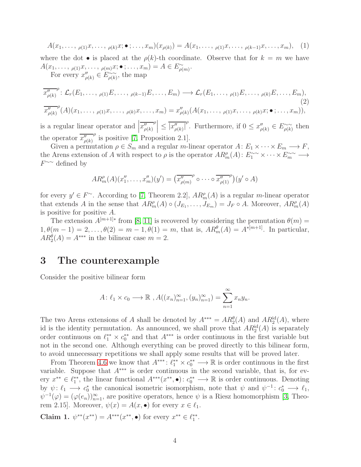$$
A(x_1, \ldots, \rho(1)x, \ldots, \rho(k)x; \bullet; \ldots, x_m)(x_{\rho(k)}) = A(x_1, \ldots, \rho(1)x, \ldots, \rho(k-1)x, \ldots, x_m), \quad (1)
$$

where the dot  $\bullet$  is placed at the  $\rho(k)$ -th coordinate. Observe that for  $k = m$  we have  $A(x_1,\ldots, \rho_{(1)}x,\ldots, \rho_{(m)}x;\bullet; \ldots, x_m)=A\in E_{\rho(m)}^{\sim}.$ 

For every  $x''_{\rho(k)} \in E^{\sim\sim}_{\rho(k)}$ , the map

<span id="page-3-0"></span>
$$
\overline{x_{\rho(k)}^{\prime\prime}}^{\rho} : \mathcal{L}_r(E_1, \ldots, \rho_{(1)}E, \ldots, \rho_{(k-1)}E, \ldots, E_m) \longrightarrow \mathcal{L}_r(E_1, \ldots, \rho_{(1)}E, \ldots, \rho_{(k)}E, \ldots, E_m),
$$
\n
$$
\overline{x_{\rho(k)}^{\prime\prime}}^{\rho}(A)(x_1, \ldots, \rho_{(1)}x, \ldots, \rho_{(k)}x, \ldots, x_m) = x_{\rho(k)}^{\prime\prime}(A(x_1, \ldots, \rho_{(1)}x, \ldots, \rho_{(k)}x; \bullet; \ldots, x_m)),
$$
\n(2)

is a regular linear operator and  $\left| \overline{x_{\rho(k)}^{"}}\right|$  $\left| \rho \right| \leq \overline{|x''_{\rho(k)}|}^{\rho}$ . Furthermore, if  $0 \leq x''_{\rho(k)} \in E^{\sim}_{\rho(k)}$  then the operator  $\overline{x''_{\rho(k)}}$  $^{\rho}$  is positive [\[7,](#page-19-7) Proposition 2.1].

Given a permutation  $\rho \in S_m$  and a regular m-linear operator  $A: E_1 \times \cdots \times E_m \longrightarrow F$ , the Arens extension of A with respect to  $\rho$  is the operator  $AR_{m}^{\rho}(A)$ :  $E_1^{\sim\sim}\times\cdots\times E_m^{\sim\sim}$   $\longrightarrow$  $F^{\sim\sim}$  defined by

$$
AR_{m}^{\rho}(A)(x_{1}^{\prime\prime},\ldots,x_{m}^{\prime\prime})(y^{\prime}) = \left(\overline{x_{\rho(m)}^{\prime\prime}}^{\rho}\circ\cdots\circ\overline{x_{\rho(1)}^{\prime\prime}}^{\rho}\right)(y^{\prime}\circ A)
$$

for every  $y' \in F^{\sim}$ . According to [\[7,](#page-19-7) Theorem 2.2],  $AR_m^{\rho}(A)$  is a regular m-linear operator that extends A in the sense that  $AR_m^{\rho}(A) \circ (J_{E_1}, \ldots, J_{E_m}) = J_F \circ A$ . Moreover,  $AR_m^{\rho}(A)$ is positive for positive A.

The extension  $A^{[m+1]*}$  from [\[8,](#page-19-2) [11\]](#page-19-1) is recovered by considering the permutation  $\theta(m)$  =  $1, \theta(m-1) = 2, \ldots, \theta(2) = m - 1, \theta(1) = m$ , that is,  $AR_m^{\theta}(A) = A^{*[m+1]}$ . In particular,  $AR_2^{\theta}(A) = A^{***}$  in the bilinear case  $m = 2$ .

#### 3 The counterexample

Consider the positive bilinear form

$$
A: \ell_1 \times c_0 \longrightarrow \mathbb{R}, A((x_n)_{n=1}^{\infty}, (y_n)_{n=1}^{\infty}) = \sum_{n=1}^{\infty} x_n y_n.
$$

The two Arens extensions of A shall be denoted by  $A^{***} = AR_2^{\theta}(A)$  and  $AR_2^{\text{id}}(A)$ , where id is the identity permutation. As announced, we shall prove that  $AR_2^{\text{id}}(A)$  is separately order continuous on  $\ell_1^{**} \times c_0^{**}$  and that  $A^{***}$  is order continuous in the first variable but not in the second one. Although everything can be proved directly to this bilinear form, to avoid unnecessary repetitions we shall apply some results that will be proved later.

From Theorem [4.6](#page-8-0) we know that  $A^{***}$ :  $\ell_1^{**} \times c_0^{**} \longrightarrow \mathbb{R}$  is order continuous in the first variable. Suppose that  $A^{***}$  is order continuous in the second variable, that is, for every  $x^{**} \in \ell_1^{**}$ , the linear functional  $A^{***}(x^{**}, \bullet) : c_0^{**} \longrightarrow \mathbb{R}$  is order continuous. Denoting by  $\psi: \ell_1 \longrightarrow c_0^*$  the canonical isometric isomorphism, note that  $\psi$  and  $\psi^{-1}: c_0^* \longrightarrow \ell_1$ ,  $\psi^{-1}(\varphi) = (\varphi(e_n))_{n=1}^{\infty}$ , are positive operators, hence  $\psi$  is a Riesz homomorphism [\[3,](#page-19-4) Theorem 2.15]. Moreover,  $\psi(x) = A(x, \bullet)$  for every  $x \in \ell_1$ .

Claim 1.  $\psi^{**}(x^{**}) = A^{***}(x^{**}, \bullet)$  for every  $x^{**} \in \ell_1^{**}$ .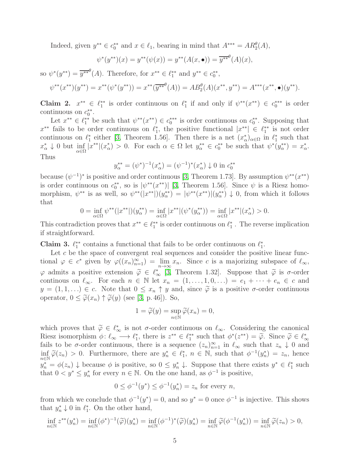Indeed, given  $y^{**} \in c_0^{**}$  and  $x \in \ell_1$ , bearing in mind that  $A^{***} = AR_2^{\theta}(A)$ ,

$$
\psi^*(y^{**})(x) = y^{**}(\psi(x)) = y^{**}(A(x, \bullet)) = \overline{y^{**}}^{\theta}(A)(x),
$$

so  $\psi^*(y^{**}) = \overline{y^{**}}^{\theta}(A)$ . Therefore, for  $x^{**} \in \ell_1^{**}$  and  $y^{**} \in c_0^{**}$ ,

$$
\psi^{**}(x^{**})(y^{**}) = x^{**}(\psi^*(y^{**})) = x^{**}(\overline{y^{**}}^{\theta}(A)) = AB_2^{\theta}(A)(x^{**}, y^{**}) = A^{***}(x^{**}, \bullet)(y^{**}).
$$

Claim 2.  $x^{**} \in \ell_1^{**}$  is order continuous on  $\ell_1^*$  if and only if  $\psi^{**}(x^{**}) \in c_0^{***}$  is order continuous on  $c_0^{**}$ .

Let  $x^{**} \in \ell_1^{**}$  be such that  $\psi^{**}(x^{**}) \in c_0^{***}$  is order continuous on  $c_0^{**}$ . Supposing that  $x^{**}$  fails to be order continuous on  $\ell_1^*$ , the positive functional  $|x^{**}| \in \ell_1^{**}$  is not order continuous on  $\ell_1^*$  either [\[3,](#page-19-4) Theorem 1.56]. Then there is a net  $(x^*_{\alpha})_{\alpha\in\Omega}$  in  $\ell_1^*$  such that  $x^*_{\alpha} \downarrow 0$  but  $\inf_{\alpha \in \Omega} |x^{**}|(x^*_{\alpha}) > 0$ . For each  $\alpha \in \Omega$  let  $y^{**}_{\alpha} \in c^{**}_{0}$  be such that  $\psi^*(y^{**}_{\alpha}) = x^*_{\alpha}$ . Thus

$$
y_{\alpha}^{**} = (\psi^*)^{-1}(x_{\alpha}^*) = (\psi^{-1})^*(x_{\alpha}^*) \downarrow 0 \text{ in } c_0^{**}
$$

because  $(\psi^{-1})^*$  is positive and order continuous [\[3,](#page-19-4) Theorem 1.73]. By assumption  $\psi^{**}(x^{**})$ is order continuous on  $c_0^{**}$ , so is  $|\psi^{**}(x^{**})|$  [\[3,](#page-19-4) Theorem 1.56]. Since  $\psi$  is a Riesz homomorphism,  $\psi^{**}$  is as well, so  $\psi^{**}(|x^{**}|)(y^{**}_{\alpha}) = |\psi^{**}(x^{**})|(y^{**}_{\alpha}) \downarrow 0$ , from which it follows that

$$
0 = \inf_{\alpha \in \Omega} \psi^{**}(|x^{**}|)(y^{**}_{\alpha}) = \inf_{\alpha \in \Omega} |x^{**}|(\psi^*(y^{**}_{\alpha})) = \inf_{\alpha \in \Omega} |x^{**}|(x^{*}_{\alpha}) > 0.
$$

This contradiction proves that  $x^{**} \in \ell_1^{**}$  is order continuous on  $\ell_1^*$ . The reverse implication if straightforward.

**Claim 3.**  $\ell_1^{**}$  contains a functional that fails to be order continuous on  $\ell_1^*$ .

Let  $c$  be the space of convergent real sequences and consider the positive linear functional  $\varphi \in c^*$  given by  $\varphi((x_n)_{n=1}^{\infty}) = \lim_{n \to \infty} x_n$ . Since c is a majorizing subspace of  $\ell_{\infty}$ ,  $\varphi$  admits a positive extension  $\widetilde{\varphi} \in \ell_{\infty}^{*}$  [\[3,](#page-19-4) Theorem 1.32]. Suppose that  $\widetilde{\varphi}$  is  $\sigma$ -order continous on  $\ell_{\infty}$ . For each  $n \in \mathbb{N}$  let  $x_n = (1, \ldots, 1, 0, \ldots) = e_1 + \cdots + e_n \in c$  and  $y = (1, 1, ...) \in c$ . Note that  $0 \leq x_n \uparrow y$  and, since  $\tilde{\varphi}$  is a positive  $\sigma$ -order continuous operator,  $0 \leq \tilde{\varphi}(x_n) \uparrow \tilde{\varphi}(y)$  (see [\[3,](#page-19-4) p. 46]). So,

$$
1 = \widetilde{\varphi}(y) = \sup_{n \in \mathbb{N}} \widetilde{\varphi}(x_n) = 0,
$$

which proves that  $\widetilde{\varphi} \in \ell_{\infty}^*$  is not  $\sigma$ -order continuous on  $\ell_{\infty}$ . Considering the canonical<br>Discrete isomorphisms to  $\ell_{\infty}$  is the set of  $\ell^*$  and that  $\ell^*$   $(\ell^*$ Riesz isomorphism  $\phi: \ell_{\infty} \longrightarrow \ell_{1}^{*}$ , there is  $z^{**} \in \ell_{1}^{**}$  such that  $\phi^{*}(z^{**}) = \tilde{\varphi}$ . Since  $\tilde{\varphi} \in \ell_{\infty}^{*}$ fails to be  $\sigma$ -order continuous, there is a sequence  $(z_n)_{n=1}^{\infty}$  in  $\ell_{\infty}$  such that  $z_n \downarrow 0$  and  $inf_{n\in\mathbb{N}} \tilde{\varphi}(z_n) > 0$ . Furthermore, there are  $y_n^* \in \ell_1^*$ ,  $n \in \mathbb{N}$ , such that  $\phi^{-1}(y_n^*) = z_n$ , hence  $y_n^* = \phi(z_n) \downarrow$  because  $\phi$  is positive, so  $0 \leq y_n^* \downarrow$ . Suppose that there exists  $y^* \in \ell_1^*$  such that  $0 < y^* \leq y_n^*$  for every  $n \in \mathbb{N}$ . On the one hand, as  $\phi^{-1}$  is positive,

$$
0 \le \phi^{-1}(y^*) \le \phi^{-1}(y_n^*) = z_n
$$
 for every *n*,

from which we conclude that  $\phi^{-1}(y^*) = 0$ , and so  $y^* = 0$  once  $\phi^{-1}$  is injective. This shows that  $y_n^* \downarrow 0$  in  $\ell_1^*$ . On the other hand,

$$
\inf_{n\in\mathbb{N}} z^{**}(y_n^*) = \inf_{n\in\mathbb{N}} (\phi^*)^{-1}(\widetilde{\varphi})(y_n^*) = \inf_{n\in\mathbb{N}} (\phi^{-1})^*(\widetilde{\varphi})(y_n^*) = \inf_{n\in\mathbb{N}} \widetilde{\varphi}(\phi^{-1}(y_n^*)) = \inf_{n\in\mathbb{N}} \widetilde{\varphi}(z_n) > 0,
$$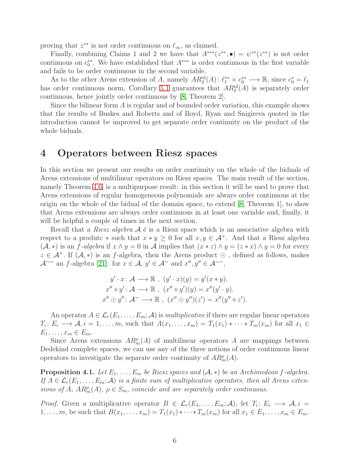proving that  $z^{**}$  is not order continuous on  $\ell_{\infty}$ , as claimed.

Finally, combining Claims 1 and 2 we have that  $A^{***}(z^{**}, \bullet) = \psi^{**}(z^{**})$  is not order continuous on  $c_0^*$ . We have established that  $A^{***}$  is order continuous in the first variable and fails to be order continuous in the second variable.

As to the other Arens extension of A, namely  $AR_2^{\text{id}}(A)$ :  $\ell_1^{**} \times c_0^{**} \longrightarrow \mathbb{R}$ , since  $c_0^* = \ell_1$ has order continuous norm, Corollary [5.1](#page-10-0) guarantees that  $AR_2^{id}(A)$  is separately order continuous, hence jointly order continuous by [\[8,](#page-19-2) Theorem 2].

Since the bilinear form A is regular and of bounded order variation, this example shows that the results of Buskes and Roberts and of Boyd, Ryan and Snigireva quoted in the introduction cannot be improved to get separate order continuity on the product of the whole biduals.

### 4 Operators between Riesz spaces

In this section we present our results on order continuity on the whole of the biduals of Arens extensions of multilinear operators on Riesz spaces. The main result of the section, namely Theorem [4.6,](#page-8-0) is a multipurpose result: in this section it will be used to prove that Arens extensions of regular homogeneous polynomials are always order continuous at the origin on the whole of the bidual of the domain space, to extend [\[8,](#page-19-2) Theorem 1], to show that Arens extensions are always order continuous in at least one variable and, finally, it will be helpful a couple of times in the next section.

Recall that a *Riesz algebra*  $A \notin \mathcal{A}$  is a Riesz space which is an associative algebra with respect to a produtc  $*$  such that  $x * y \geq 0$  for all  $x, y \in A^+$ . And that a Riesz algebra  $(\mathcal{A}, *)$  is an f-algebra if  $x \wedge y = 0$  in  $\mathcal{A}$  implies that  $(x * z) \wedge y = (z * x) \wedge y = 0$  for every  $z \in A^+$ . If  $(A, *)$  is an f-algebra, then the Arens product  $\odot$ , defined as follows, makes  $\mathcal{A}^{\sim\sim}$  an f-algebra [\[21\]](#page-20-4): for  $x \in \mathcal{A}, y' \in \mathcal{A}^{\sim}$  and  $x'', y'' \in \mathcal{A}^{\sim\sim}$ ,

$$
y' \cdot x \colon \mathcal{A} \longrightarrow \mathbb{R}, \ (y' \cdot x)(y) = y'(x * y).
$$
  

$$
x'' \diamond y' \colon \mathcal{A} \longrightarrow \mathbb{R}, \ (x'' \diamond y')(y) = x''(y' \cdot y).
$$
  

$$
x'' \odot y'' \colon \mathcal{A} \sim \mathbb{R}, \ (x'' \odot y'')(z') = x''(y'' \diamond z').
$$

An operator  $A \in \mathcal{L}_r(E_1, \ldots, E_m; \mathcal{A})$  is *multiplicative* if there are regular linear operators  $T_i: E_i \longrightarrow \mathcal{A}, i = 1, \ldots, m$ , such that  $A(x_1, \ldots, x_m) = T_1(x_1) * \cdots * T_m(x_m)$  for all  $x_1 \in$  $E_1, \ldots, x_m \in E_m$ .

Since Arens extensions  $AR_m^{\rho}(A)$  of multilinear operators A are mappings between Dedekind complete spaces, we can use any of the three notions of order continuous linear operators to investigate the separate order continuity of  $AR_{m}^{\rho}(A)$ .

<span id="page-5-0"></span>**Proposition 4.1.** *Let*  $E_1, \ldots, E_m$  *be Riesz spaces and*  $(A, *)$  *be an Archimedean f-algebra. If*  $A \in \mathcal{L}_r(E_1, \ldots, E_m; \mathcal{A})$  *is a finite sum of multiplicative operators, then all Arens extensions of* A,  $AR_m^{\rho}(A)$ ,  $\rho \in S_m$ , *coincide and are separately order continuous.* 

*Proof.* Given a multiplicative operator  $B \in \mathcal{L}_r(E_1, \ldots, E_m; \mathcal{A})$ , let  $T_i: E_i \longrightarrow \mathcal{A}, i =$ 1, ..., m, be such that  $B(x_1, ..., x_m) = T_1(x_1) * \cdots * T_m(x_m)$  for all  $x_1 \in E_1, ..., x_m \in E_m$ .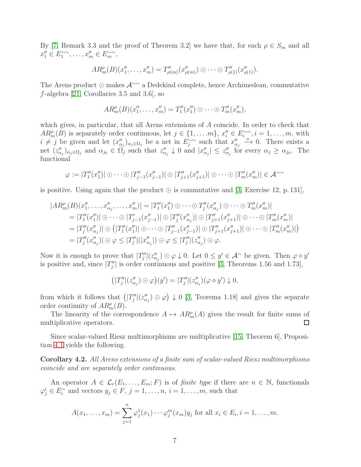By [\[7,](#page-19-7) Remark 3.3 and the proof of Theorem 3.2] we have that, for each  $\rho \in S_m$  and all  $x_1'' \in E_1^{\sim \sim}, \ldots, x_m'' \in E_m^{\sim \sim},$ 

$$
AR_{m}^{\rho}(B)(x_{1}^{\prime\prime},\ldots,x_{m}^{\prime\prime})=T_{\rho(m)}^{\prime\prime}(x_{\rho(m)}^{\prime\prime})\odot\cdots\odot T_{\rho(1)}^{\prime\prime}(x_{\rho(1)}^{\prime\prime}).
$$

The Arens product ⊙ makes A∼∼ a Dedekind complete, hence Archimedean, commutative f-algebra [\[21,](#page-20-4) Corollaries 3.5 and 3.6], so

$$
AR_m^{\rho}(B)(x_1'', \ldots, x_m'') = T_1''(x_1'') \odot \cdots \odot T_m''(x_m''),
$$

which gives, in particular, that all Arens extensions of A coincide. In order to check that  $AR_m^{\rho}(B)$  is separately order continuous, let  $j \in \{1, \ldots, m\}$ ,  $x_i^{\prime\prime} \in E_i^{\sim}$ ,  $i = 1, \ldots, m$ , with  $i \neq j$  be given and let  $(x''_{\alpha_j})_{\alpha_j \in \Omega_j}$  be a net in  $E_j^{\sim}$  such that  $x''_{\alpha_j} \xrightarrow{\delta} 0$ . There exists a net  $(z''_{\alpha_j})_{\alpha_j \in \Omega_j}$  and  $\alpha_{j_0} \in \Omega_j'$  such that  $z''_{\alpha_j} \downarrow 0$  and  $|x''_{\alpha_j}| \leq z''_{\alpha_j}$  for every  $\alpha_j \geq \alpha_{j_0}$ . The functional

$$
\varphi := |T_1''(x_1'')| \odot \cdots \odot |T_{j-1}''(x_{j-1}'')| \odot |T_{j+1}''(x_{j+1}'')| \odot \cdots \odot |T_m''(x_m'')| \in \mathcal{A}^{\sim}
$$

is positive. Using again that the product  $\odot$  is commutative and [\[3,](#page-19-4) Exercise 12, p. 131],

$$
|AR_m^{\rho}(B)(x_1'', \ldots, x_{\alpha_j}'', \ldots, x_m'')| = |T_1''(x_1'') \odot \cdots \odot T_j''(x_{\alpha_j}'') \odot \cdots \odot T_m''(x_m'')|
$$
  
\n
$$
= |T_1''(x_1'')| \odot \cdots \odot |T_{j-1}'(x_{j-1}'')| \odot |T_j''(x_{\alpha_j}'')| \odot |T_{j+1}''(x_{j+1}'')| \odot \cdots \odot |T_m''(x_m'')|
$$
  
\n
$$
= |T_j''(x_{\alpha_j}''')| \odot (|T_1''(x_1'')| \odot \cdots \odot |T_{j-1}''(x_{j-1}'')| \odot |T_{j+1}''(x_{j+1}'')| \odot \cdots \odot |T_m''(x_m'')|)
$$
  
\n
$$
= |T_j''(x_{\alpha_j}'')| \odot \varphi \leq |T_j''|(|x_{\alpha_j}''|) \odot \varphi \leq |T_j''|(z_{\alpha_j}'') \odot \varphi.
$$

Now it is enough to prove that  $|T''_j|(z''_{\alpha_j})\odot\varphi\downarrow 0$ . Let  $0\leq y'\in\mathcal{A}^{\sim}$  be given. Then  $\varphi\diamond y'$ is positive and, since  $|T''_j|$  is order continuous and positive [\[3,](#page-19-4) Theorems 1.56 and 1.73],

$$
(|T_j''|(z_{\alpha_j}''')\odot\varphi)(y')=|T_j''|(z_{\alpha_j}'')(\varphi\diamond y')\downarrow 0,
$$

from which it follows that  $(|T''_j|(z''_{\alpha_j}) \odot \varphi) \downarrow 0$  [\[3,](#page-19-4) Teorema 1.18] and gives the separate order continuity of  $AR_m^{\rho}(B)$ .

The linearity of the correspondence  $A \mapsto AR_m^{\rho}(A)$  gives the result for finite sums of multiplicative operators.  $\Box$ 

Since scalar-valued Riesz multimorphisms are multiplicative [\[15,](#page-20-5) Theorem 6], Proposition [4.1](#page-5-0) yields the following.

Corollary 4.2. *All Arens extensions of a finite sum of scalar-valued Riesz multimorphisms coincide and are separately order continuous.*

An operator  $A \in \mathcal{L}_r(E_1,\ldots,E_m;F)$  is of *finite type* if there are  $n \in \mathbb{N}$ , functionals  $\varphi_j^i \in E_i^{\sim}$  and vectors  $y_j \in F$ ,  $j = 1, \ldots, n$ ,  $i = 1, \ldots, m$ , such that

$$
A(x_1,...,x_m) = \sum_{j=1}^n \varphi_j^1(x_1) \cdots \varphi_j^m(x_m) y_j \text{ for all } x_i \in E_i, i = 1,...,m.
$$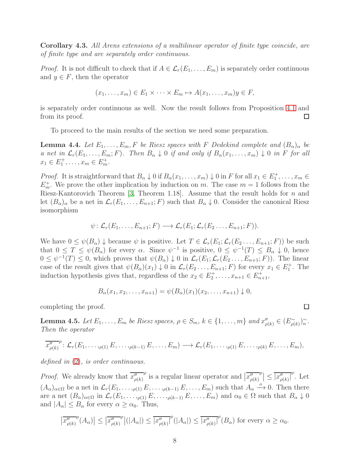Corollary 4.3. *All Arens extensions of a multilinear operator of finite type coincide, are of finite type and are separately order continuous.*

*Proof.* It is not difficult to check that if  $A \in \mathcal{L}_r(E_1, \ldots, E_m)$  is separately order continuous and  $y \in F$ , then the operator

$$
(x_1, \ldots, x_m) \in E_1 \times \cdots \times E_m \mapsto A(x_1, \ldots, x_m)y \in F,
$$

is separately order continuous as well. Now the result follows from Proposition [4.1](#page-5-0) and from its proof.  $\Box$ 

To proceed to the main results of the section we need some preparation.

<span id="page-7-0"></span>**Lemma 4.4.** Let  $E_1, \ldots, E_m, F$  be Riesz spaces with F Dedekind complete and  $(B_\alpha)_{\alpha}$  be *a* net in  $\mathcal{L}_r(E_1, \ldots, E_m; F)$ *.* Then  $B_\alpha \downarrow 0$  if and only if  $B_\alpha(x_1, \ldots, x_m) \downarrow 0$  in F for all  $x_1 \in E_1^+, \ldots, x_m \in E_m^+$ .

*Proof.* It is straightforward that  $B_{\alpha} \downarrow 0$  if  $B_{\alpha}(x_1, \ldots, x_m) \downarrow 0$  in F for all  $x_1 \in E_1^+, \ldots, x_m \in$  $E_m^+$ . We prove the other implication by induction on m. The case  $m = 1$  follows from the Riesz-Kantorovich Theorem [\[3,](#page-19-4) Theorem 1.18]. Assume that the result holds for  $n$  and let  $(B_\alpha)_\alpha$  be a net in  $\mathcal{L}_r(E_1,\ldots,E_{n+1};F)$  such that  $B_\alpha\downarrow 0$ . Consider the canonical Riesz isomorphism

$$
\psi\colon \mathcal{L}_r(E_1,\ldots,E_{n+1};F)\longrightarrow \mathcal{L}_r(E_1;\mathcal{L}_r(E_2\ldots,E_{n+1};F)).
$$

We have  $0 \leq \psi(B_\alpha) \downarrow$  because  $\psi$  is positive. Let  $T \in \mathcal{L}_r(E_1; \mathcal{L}_r(E_2, \ldots, E_{n+1}; F))$  be such that  $0 \leq T \leq \psi(B_\alpha)$  for every  $\alpha$ . Since  $\psi^{-1}$  is positive,  $0 \leq \psi^{-1}(T) \leq B_\alpha \downarrow 0$ , hence  $0 \leq \psi^{-1}(T) \leq 0$ , which proves that  $\psi(B_{\alpha}) \downarrow 0$  in  $\mathcal{L}_r(E_1; \mathcal{L}_r(E_2 \ldots, E_{n+1}; F))$ . The linear case of the result gives that  $\psi(B_{\alpha})(x_1) \downarrow 0$  in  $\mathcal{L}_r(E_2 \ldots, E_{n+1}; F)$  for every  $x_1 \in E_1^+$ . The induction hypothesis gives that, regardless of the  $x_2 \in E_2^+, \ldots, x_{n+1} \in E_{n+1}^+$ ,

$$
B_{\alpha}(x_1, x_2, \ldots, x_{n+1}) = \psi(B_{\alpha})(x_1)(x_2, \ldots, x_{n+1}) \downarrow 0,
$$

completing the proof.

<span id="page-7-1"></span>**Lemma 4.5.** *Let*  $E_1, \ldots, E_m$  *be Riesz spaces,*  $\rho \in S_m$ ,  $k \in \{1, \ldots, m\}$  *and*  $x''_{\rho(k)} \in (E_{\rho(k)}^{\sim})^{\sim}_n$ . *Then the operator*

$$
\overline{x_{\rho(k)}^{\prime\prime}}^{\rho}\colon \mathcal{L}_r(E_1,\ldots,\rho_{(1)} E,\ldots,\rho_{(k-1)} E,\ldots,E_m)\longrightarrow \mathcal{L}_r(E_1,\ldots,\rho_{(1)} E,\ldots,\rho_{(k)} E,\ldots,E_m),
$$

*defined in* [\(2\)](#page-3-0)*, is order continuous.*

*Proof.* We already know that  $\overline{x''_{\rho(k)}}$  $\overline{r}^{\rho}$  is a regular linear operator and  $\left| \overline{x^{\prime \prime}_{\rho(k)}} \right|$  $\left| \rho \right| \leq \overline{\left| x_{\rho(k)}'' \right|}^{\rho}$ . Let  $(A_{\alpha})_{\alpha\in\Omega}$  be a net in  $\mathcal{L}_r(E_1,\ldots,\rho(1),E,\ldots,\rho(k-1),E,\ldots,E_m)$  such that  $A_{\alpha}\stackrel{o}{\longrightarrow}0$ . Then there are a net  $(B_{\alpha})_{\alpha\in\Omega}$  in  $\mathcal{L}_r(E_1,\ldots,\rho_{(1)} E,\ldots,\rho_{(k-1)} E,\ldots,E_m)$  and  $\alpha_0 \in \Omega$  such that  $B_{\alpha} \downarrow 0$ and  $|A_{\alpha}| \leq B_{\alpha}$  for every  $\alpha \geq \alpha_0$ . Thus,

$$
\left|\overline{x_{\rho(k)}^{"}}^{\rho}(A_{\alpha})\right| \leq \left|\overline{x_{\rho(k)}^{"}}^{\rho}\right|(|A_{\alpha}|) \leq \left|\overline{x_{\rho(k)}^{"}}^{\rho}(|A_{\alpha}|) \leq \left|\overline{x_{\rho(k)}^{"}}^{\rho}(B_{\alpha})\right|\text{ for every }\alpha \geq \alpha_0.
$$

□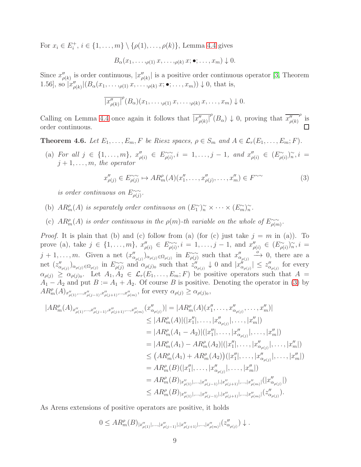For  $x_i \in E_i^+, i \in \{1, ..., m\} \setminus \{\rho(1), ..., \rho(k)\}\)$ . Lemma [4.4](#page-7-0) gives

$$
B_{\alpha}(x_1,\ldots, \rho(1),x,\ldots, \rho(k),x;\bullet;\ldots,x_m) \downarrow 0.
$$

Since  $x''_{\rho(k)}$  is order continuous,  $|x''_{\rho(k)}|$  is a positive order continuous operator [\[3,](#page-19-4) Theorem 1.56], so  $|x''_{\rho(k)}|(B_\alpha(x_1,\ldots,\rho_{(1)}x,\ldots,\rho_{(k)}x;\bullet;\ldots,x_m))\downarrow 0$ , that is,

$$
\overline{|x''_{\rho(k)}|}^{\rho}(B_{\alpha})(x_1,\ldots,y_{(1)},x,\ldots,y_{(k)},x,\ldots,x_m)\downarrow 0.
$$

Calling on Lemma [4.4](#page-7-0) once again it follows that  $\overline{x''_{\rho(k)}}^{\rho}$  (B<sub>a</sub>)  $\downarrow$  0, proving that  $\overline{x''_{\rho(k)}}$  $\frac{\rho}{\text{is}}$ order continuous.

<span id="page-8-0"></span>**Theorem 4.6.** *Let*  $E_1, \ldots, E_m, F$  *be Riesz spaces,*  $\rho \in S_m$  *and*  $A \in \mathcal{L}_r(E_1, \ldots, E_m; F)$ *.* 

(a) *For all*  $j \in \{1, ..., m\}$ ,  $x''_{\rho(i)} \in E^{\infty}_{\rho(i)}$ ,  $i = 1, ..., j - 1$ , and  $x''_{\rho(i)} \in (E^{\infty}_{\rho(i)})^{\infty}_{n}$ ,  $i = 1, ..., j - 1$  $j + 1, \ldots, m$ , the operator

<span id="page-8-1"></span>
$$
x''_{\rho(j)} \in E^{\sim\sim}_{\rho(j)} \mapsto AR_m^{\rho}(A)(x''_1, \dots, x''_{\rho(j)}, \dots, x''_m) \in F^{\sim\sim}
$$
 (3)

*is order continuous on*  $E^{\sim\sim}_{\rho(j)}$ .

- (b)  $AR_m^{\rho}(A)$  *is separately order continuous on*  $(E_1^{\sim})_n^{\sim} \times \cdots \times (E_m^{\sim})_n^{\sim}$ .
- (c)  $AR_m^{\rho}(A)$  *is order continuous in the*  $\rho(m)$ -*th variable on the whole of*  $E_{\rho(m)}^{\sim\sim}$ .

*Proof.* It is plain that (b) and (c) follow from (a) (for (c) just take  $j = m$  in (a)). To prove (a), take  $j \in \{1, ..., m\}$ ,  $x''_{\rho(i)} \in E^{\sim}_{\rho(i)}$ ,  $i = 1, ..., j - 1$ , and  $x''_{\rho(i)} \in (E^{\sim}_{\rho(i)})^{\sim}_{n}$ ,  $i =$  $j+1,\ldots,m$ . Given a net  $(x''_{\alpha_{\rho(j)}})_{\alpha_{\rho(j)}\in\Omega_{\rho(j)}}$  in  $E^{\sim\sim}_{\rho(j)}$  such that  $x''_{\alpha_{\rho(j)}} \stackrel{\delta}{\longrightarrow} 0$ , there are a net  $(z''_{\alpha_{\rho(j)}})_{\alpha_{\rho(j)}\in\Omega_{\rho(j)}}$  in  $E^{\sim\sim}_{\rho(j)}$  and  $\alpha_{\rho(j)_0}$  such that  $z''_{\alpha_{\rho(j)}}\downarrow 0$  and  $|x''_{\alpha_{\rho(j)}}| \leq z''_{\alpha_{\rho(j)}}$  for every  $\alpha_{\rho(j)} \geq \alpha_{\rho(j)_0}$ . Let  $A_1, A_2 \in \mathcal{L}_r(E_1, \ldots, E_m; F)$  be positive operators such that  $A =$  $A_1 - A_2$  and put  $B := A_1 + A_2$ . Of course B is positive. Denoting the operator in [\(3\)](#page-8-1) by  $AR_{m}^{\rho}(A)_{x_{\rho(1)}^{\prime\prime},...,x_{\rho(j-1)}^{\prime\prime},x_{\rho(j+1)}^{\prime\prime},...,x_{\rho(m)}^{\prime\prime}},$  for every  $\alpha_{\rho(j)} \geq \alpha_{\rho(j_0)}$ ,

$$
|AR_{m}^{\rho}(A)_{x_{\rho(1)}^{\prime},\ldots,x_{\rho(j+1)}^{\prime},x_{\rho(m)}^{\prime\prime}}(x_{\alpha_{\rho(j)}}^{\prime\prime})| = |AR_{m}^{\rho}(A)(x_{1}^{\prime\prime},\ldots,x_{\alpha_{\rho(j)}}^{\prime\prime},\ldots,x_{m}^{\prime\prime})|
$$
  
\n
$$
\leq |AR_{m}^{\rho}(A)|(|x_{1}^{\prime\prime}|,\ldots,|x_{\alpha_{\rho(j)}}^{\prime\prime}|,\ldots,|x_{\alpha_{\rho(j)}}^{\prime\prime}|,\ldots,x_{m}^{\prime\prime}|)
$$
  
\n
$$
= |AR_{m}^{\rho}(A_{1}-A_{2})|(|x_{1}^{\prime\prime}|,\ldots,|x_{\alpha_{\rho(j)}}^{\prime\prime}|,\ldots,|x_{m}^{\prime\prime}|)
$$
  
\n
$$
\leq (AR_{m}^{\rho}(A_{1})-AR_{m}^{\rho}(A_{2})|(|x_{1}^{\prime\prime}|,\ldots,|x_{\alpha_{\rho(j)}}^{\prime\prime}|,\ldots,|x_{m}^{\prime\prime}|)
$$
  
\n
$$
\leq (AR_{m}^{\rho}(A_{1})+AR_{m}^{\rho}(A_{2}))(|x_{1}^{\prime\prime}|,\ldots,|x_{\alpha_{\rho(j)}}^{\prime\prime}|,\ldots,|x_{m}^{\prime\prime}|)
$$
  
\n
$$
= AR_{m}^{\rho}(B)(|x_{1}^{\prime\prime}|,\ldots,|x_{\alpha_{\rho(j)}}^{\prime\prime}|,\ldots,|x_{\rho(m)}^{\prime\prime}|(|x_{\alpha_{\rho(j)}}^{\prime\prime}|))
$$
  
\n
$$
\leq AR_{m}^{\rho}(B)_{|x_{\rho(1)}^{\prime}|,\ldots,|x_{\rho(1)}^{\prime\prime}|,\ldots,|x_{\rho(1)}^{\prime\prime}|,\ldots,|x_{\rho(m)}^{\prime\prime}|}(|x_{\alpha_{\rho(j)}}^{\prime\prime}|)
$$

As Arens extensions of positive operators are positive, it holds

$$
0\leq AR_{m}^{\rho}(B)_{|x_{\rho(1)}^{\prime\prime}|,\ldots,|x_{\rho(j-1)}^{\prime\prime}|,|x_{\rho(j+1)}^{\prime\prime}|,\ldots,|x_{\rho(m)}^{\prime\prime}|}(z_{\alpha_{\rho(j)}}^{\prime\prime})\downarrow.
$$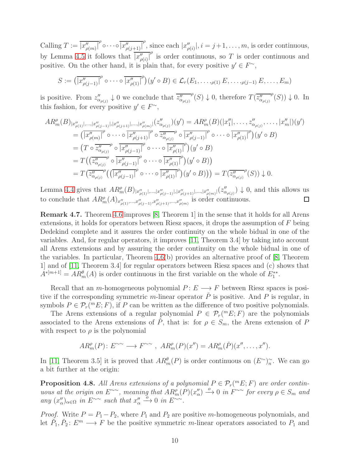Calling  $T := \overline{|x''_{\rho(m)}|}^{\rho} \circ \cdots \circ \overline{|x''_{\rho(j+1)}|}^{\rho}$ , since each  $|x''_{\rho(i)}|, i = j+1, \ldots, m$ , is order continuous, by Lemma [4.5](#page-7-1) it follows that  $\frac{x}{|x'_{\rho(i)}|}$  is order continuous, so T is order continuous and positive. On the other hand, it is plain that, for every positive  $y' \in F^{\sim}$ ,

$$
S := \left(\overline{|x''_{\rho(j-1)}|}^{\rho} \circ \cdots \circ \overline{|x''_{\rho(1)}|}^{\rho}\right)(y' \circ B) \in \mathcal{L}_r(E_1, \ldots, \rho(1), E, \ldots, \rho(j-1), E, \ldots, E_m)
$$

is positive. From  $z''_{\alpha_{\rho(j)}} \downarrow 0$  we conclude that  $\overline{z''_{\alpha_{\rho(j)}}}$  $\mathcal{P}(S) \downarrow 0$ , therefore  $\overline{T(\overline{z^{\prime\prime}_{\alpha_{\rho(j)}}})}$  $^{\rho}(S)) \downarrow 0.$  In this fashion, for every positive  $y' \in F^{\sim}$ ,

$$
AR_m^{\rho}(B)|_{x_{\rho(1)}^{\prime\prime}|,\dots,|x_{\rho(j-1)}^{\prime\prime}|,|x_{\rho(j+1)}^{\prime\prime}|,\dots,|x_{\rho(m)}^{\prime\prime}|}(z_{\alpha_{\rho(j)}}^{\prime\prime})(y') = AR_m^{\rho}(B)(|x_1^{\prime\prime}|,\dots, z_{\alpha_{\rho(j)}}^{\prime\prime},\dots,|x_m^{\prime\prime}|)(y')
$$
  
\n
$$
= (x_{\rho(m)})^{\rho} \circ \cdots \circ (x_{\rho(j+1)}^{\prime\prime}|^{\rho} \circ \overline{z_{\alpha_{\rho(j)}}^{\prime\prime}}^{\rho} \circ (x_{\rho(j-1)}^{\prime\prime}|^{\rho} \circ \cdots \circ (x_{\rho(1)}^{\prime\prime}|^{\rho}))
$$
  
\n
$$
= (x \circ \overline{z_{\alpha_{\rho(j)}}^{\prime\prime}}^{\rho} \circ (x_{\rho(j-1)}^{\prime\prime}|^{\rho} \circ \cdots \circ (x_{\rho(1)}^{\prime\prime}|^{\rho})) (y' \circ B)
$$
  
\n
$$
= T((x_{\alpha_{\rho(j)}}^{\prime\prime}\circ (x_{\rho(j)}^{\prime\prime}) \circ (x_{\rho(j-1)}^{\prime\prime}|^{\rho} \circ \cdots \circ (x_{\rho(1)}^{\prime\prime}|^{\rho})) (y' \circ B))
$$
  
\n
$$
= T(\overline{z_{\alpha_{\rho(j)}}^{\prime\prime}}^{\rho}((x_{\rho(j-1)}^{\prime}) \circ \cdots \circ (x_{\rho(1)}^{\prime\prime}|^{\rho})) (y' \circ B)) = T(\overline{z_{\alpha_{\rho(j)}}^{\prime\prime}}^{\rho}(S)) \downarrow 0.
$$

Lemma [4.4](#page-7-0) gives that  $AR_m^{\rho}(B)_{x_{\rho(1)}^{\prime\prime}|,\dots,x_{\rho(j-1)}^{\prime\prime}|,|x_{\rho(j+1)}^{\prime\prime}|,\dots,x_{\rho(m)}^{\prime\prime}|}(z_{\alpha_{\rho(j)}}^{\prime\prime})\downarrow 0$ , and this allows us to conclude that  $AR_m^{\rho}(A)_{x''_{\rho(1)},...,x''_{\rho(j-1)},x''_{\rho(j+1)},...,x''_{\rho(m)}}$  is order continuous.

<span id="page-9-0"></span>Remark 4.7. Theorem [4.6](#page-8-0) improves [\[8,](#page-19-2) Theorem 1] in the sense that it holds for all Arens extensions, it holds for operators between Riesz spaces, it drops the assumption of F being Dedekind complete and it assures the order continuity on the whole bidual in one of the variables. And, for regular operators, it improves [\[11,](#page-19-1) Theorem 3.4] by taking into account all Arens extensions and by assuring the order continuity on the whole bidual in one of the variables. In particular, Theorem  $4.6(b)$  provides an alternative proof of [\[8,](#page-19-2) Theorem 1] and of [\[11,](#page-19-1) Theorem 3.4] for regular operators between Riesz spaces and (c) shows that  $A^{*[m+1]} = AR_m^{\theta}(A)$  is order continuous in the first variable on the whole of  $E_1^{**}$ .

Recall that an m-homogeneous polynomial  $P: E \longrightarrow F$  between Riesz spaces is positive if the corresponding symmetric m-linear operator  $\check{P}$  is positive. And P is regular, in symbols  $P \in \mathcal{P}_r(^mE; F)$ , if P can be written as the difference of two positive polynomials.

The Arens extensions of a regular polynomial  $P \in \mathcal{P}_r(mE; F)$  are the polynomials associated to the Arens extensions of P; that is: for  $\rho \in S_m$ , the Arens extension of P with respect to  $\rho$  is the polynomial

$$
AR_m^{\rho}(P): E^{\sim\sim} \longrightarrow F^{\sim\sim}, AR_m^{\rho}(P)(x'') = AR_m^{\rho}(\check{P})(x'', \ldots, x'').
$$

In [\[11,](#page-19-1) Theorem 3.5] it is proved that  $AR_m^{\theta}(P)$  is order continuous on  $(E^{\sim})_n^{\sim}$ . We can go a bit further at the origin:

<span id="page-9-1"></span>**Proposition 4.8.** All Arens extensions of a polynomial  $P \in \mathcal{P}_r(^mE; F)$  are order contin*uous at the origin on*  $E^{\sim\sim}$ , meaning that  $AR_m^{\rho}(P)(x''_{\alpha}) \stackrel{o}{\longrightarrow} 0$  in  $F^{\sim\sim}$  for every  $\rho \in S_m$  and  $\lim_{\alpha \to \infty} (x''_{\alpha})_{\alpha \in \Omega}$  *in*  $E^{\sim \sim}$  *such that*  $x''_{\alpha} \xrightarrow{\delta} 0$  *in*  $E^{\sim \sim}$ .

*Proof.* Write  $P = P_1 - P_2$ , where  $P_1$  and  $P_2$  are positive m-homogeneous polynomials, and let  $\check{P}_1, \check{P}_2: E^m \longrightarrow F$  be the positive symmetric m-linear operators associated to  $P_1$  and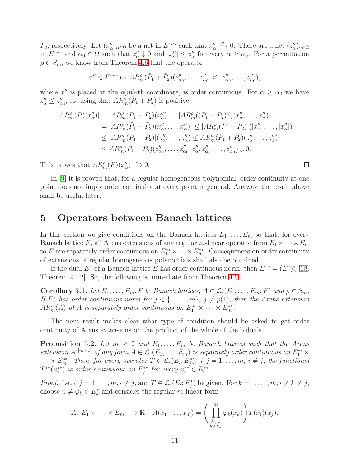P<sub>2</sub>, respectively. Let  $(x''_{\alpha})_{\alpha \in \Omega}$  be a net in  $E^{\sim}$  such that  $x''_{\alpha} \stackrel{o}{\longrightarrow} 0$ . There are a net  $(z''_{\alpha})_{\alpha \in \Omega}$ in  $E^{\sim}$  and  $\alpha_0 \in \Omega$  such that  $z''_\alpha \downarrow 0$  and  $|x''_\alpha| \leq z''_\alpha$  for every  $\alpha \geq \alpha_0$ . For a permutation  $\rho \in S_m$ , we know from Theorem [4.6](#page-8-0) that the operator

$$
x'' \in E^{\sim \sim} \to AR_m^{\rho}(\check{P}_1 + \check{P}_2)(z''_{\alpha_0}, \dots, z''_{\alpha_0}, x'', z''_{\alpha_0}, \dots, z''_{\alpha_0}),
$$

where x'' is placed at the  $\rho(m)$ -th coordinate, is order continuous. For  $\alpha \geq \alpha_0$  we have  $z''_{\alpha} \leq z''_{\alpha_0}$ , so, using that  $AR_m^{\rho}(\check{P}_1 + \check{P}_2)$  is positive,

$$
|AR_m^{\rho}(P)(x''_{\alpha})| = |AR_m^{\rho}(P_1 - P_2)(x''_{\alpha})| = |AR_m^{\rho}((P_1 - P_2)^{\vee})(x''_{\alpha}, \dots, x''_{\alpha})|
$$
  
\n
$$
= |AR_m^{\rho}(\tilde{P}_1 - \tilde{P}_2)(x''_{\alpha}, \dots, x''_{\alpha})| \le |AR_m^{\rho}(\tilde{P}_1 - \tilde{P}_2)|(|x''_{\alpha}|, \dots, |x''_{\alpha}|)
$$
  
\n
$$
\le |AR_m^{\rho}(\tilde{P}_1 - \tilde{P}_2)|(z''_{\alpha}, \dots, z''_{\alpha}) \le AR_m^{\rho}(\tilde{P}_1 + \tilde{P}_2)(z''_{\alpha}, \dots, z''_{\alpha})
$$
  
\n
$$
\le AR_m^{\rho}(\tilde{P}_1 + \tilde{P}_2)(z''_{\alpha}, \dots, z''_{\alpha}, z''_{\alpha}, z''_{\alpha}, \dots, z''_{\alpha}) \downarrow 0.
$$

This proves that  $AR_{m}^{\rho}(P)(x_{\alpha}^{"}) \xrightarrow{o} 0$ .

In [\[9\]](#page-19-8) it is proved that, for a regular homogeneous polynomial, order continuity at one point does not imply order continuity at every point in general. Anyway, the result above shall be useful later.

#### 5 Operators between Banach lattices

In this section we give conditions on the Banach lattices  $E_1, \ldots, E_m$  so that, for every Banach lattice F, all Arens extensions of any regular m-linear operator from  $E_1 \times \cdots \times E_m$ to F are separately order continuous on  $E_1^{**} \times \cdots \times E_m^{**}$ . Consequences on order continuity of extensions of regular homogeneous polynomials shall also be obtained.

If the dual  $E^*$  of a Banach lattice E has order continuous norm, then  $E^{**} = (E^*)^*_n$  [\[18,](#page-20-1) Theorem 2.4.2]. So, the following is immediate from Theorem [4.6](#page-8-0) .

<span id="page-10-0"></span>Corollary 5.1. Let  $E_1, \ldots, E_m$ , F be Banach lattices,  $A \in \mathcal{L}_r(E_1, \ldots, E_m; F)$  and  $\rho \in S_m$ . *If*  $E_j^*$  has order continuous norm for  $j \in \{1, \ldots, m\}$ ,  $j \neq \rho(1)$ , then the Arens extension  $AR_{m}^{\rho}(A)$  of A is separately order continuous on  $E_{1}^{**}\times\cdots\times E_{m}^{**}$ .

The next result makes clear what type of condition should be asked to get order continuity of Arens extensions on the product of the whole of the biduals.

**Proposition 5.2.** Let  $m \geq 2$  and  $E_1, \ldots, E_m$  be Banach lattices such that the Arens *extension*  $A^{*[m+1]}$  *of any form*  $A \in \mathcal{L}_r(E_1, \ldots, E_m)$  *is separately order continuous on*  $E_1^{**} \times$  $\cdots \times E_{m}^{**}$ . Then, for every operator  $T \in \mathcal{L}_r(E_i; E_j^*)$ ,  $i, j = 1, \ldots, m$ ,  $i \neq j$ , the functional  $T^{**}(x_i^{**})$  is order continuous on  $E_j^{**}$  for every  $x_i^{**} \in E_i^{**}$ .

*Proof.* Let  $i, j = 1, \ldots, m, i \neq j$ , and  $T \in \mathcal{L}_r(E_i; E_j^*)$  be given. For  $k = 1, \ldots, m, i \neq k \neq j$ , choose  $0 \neq \varphi_k \in E_k^*$  and consider the regular m-linear form

$$
A\colon E_1\times\cdots\times E_m\longrightarrow\mathbb{R},\ A(x_1,\ldots,x_m)=\Bigg(\prod_{\substack{k=1\\k\neq i,j}}^m\varphi_k(x_k)\Bigg)T(x_i)(x_j).
$$

 $\Box$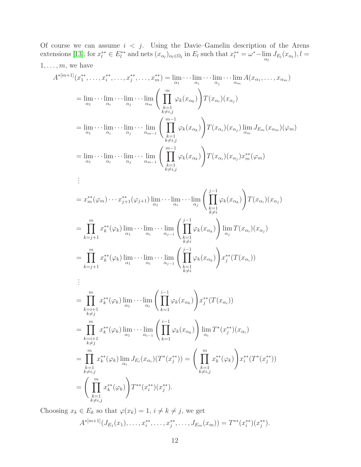Of course we can assume  $i < j$ . Using the Davie–Gamelin description of the Arens extensions [\[13\]](#page-20-6), for  $x_l^{**} \in E_l^{**}$  and nets  $(x_{\alpha_l})_{\alpha_l \in \Omega_l}$  in  $E_l$  such that  $x_l^{**} = \omega^* - \lim_{\alpha_l} J_{E_l}(x_{\alpha_l}), l =$  $1, \ldots, m$ , we have

$$
A^{*[m+1]}(x_1^{**},\ldots,x_i^{**},\ldots,x_j^{**},\ldots,x_m^{**}) = \lim_{\alpha_1}\cdots\lim_{\alpha_j}\cdots\lim_{\alpha_m}A(x_{\alpha_1},\ldots,x_{\alpha_m})
$$
\n
$$
= \lim_{\alpha_1}\cdots\lim_{\alpha_i}\cdots\lim_{\alpha_j}\cdots\lim_{\alpha_m}\left(\prod_{\substack{k=1\\k\neq i,j}}^{m}\varphi_k(x_{\alpha_k})\right)T(x_{\alpha_i})(x_{\alpha_j})
$$
\n
$$
= \lim_{\alpha_1}\cdots\lim_{\alpha_i}\cdots\lim_{\alpha_j}\cdots\lim_{\alpha_m-1}\left(\prod_{\substack{k=1\\k\neq i,j}}^{m-1}\varphi_k(x_{\alpha_k})\right)T(x_{\alpha_i})(x_{\alpha_j})\lim_{\alpha_m}J_{E_m}(x_{\alpha_m})(\varphi_m)
$$
\n
$$
= \lim_{\alpha_1}\cdots\lim_{\alpha_i}\cdots\lim_{\alpha_j}\cdots\lim_{\alpha_{m-1}}\left(\prod_{\substack{k=1\\k\neq i,j}}^{m-1}\varphi_k(x_{\alpha_k})\right)T(x_{\alpha_i})(x_{\alpha_j})x_m^{**}(\varphi_m)
$$
\n
$$
\vdots
$$
\n
$$
= x_m^{**}(\varphi_m)\cdots x_{j+1}^{**}(\varphi_{j+1})\lim_{\alpha_1}\cdots\lim_{\alpha_j}\cdots\lim_{\alpha_j}\left(\prod_{\substack{k=1\\k\neq i}}^{j-1}\varphi_k(x_{\alpha_k})\right)T(x_{\alpha_i})(x_{\alpha_j})
$$
\n
$$
= \prod_{k=j+1}^{m}x_k^{**}(\varphi_k)\lim_{\alpha_1}\cdots\lim_{\alpha_i}\cdots\lim_{\alpha_{j-1}}\left(\prod_{\substack{k=1\\k\neq i}}^{j-1}\varphi_k(x_{\alpha_k})\right)\lim_{\alpha_j}T(x_{\alpha_i})(x_{\alpha_j})
$$
\n
$$
= \prod_{\substack{k=1\\k\neq j}}^{m}x_k^{**}(\varphi_k)\lim_{\alpha_1}\cdots\lim_{\alpha_i}\cdots\lim_{\alpha_j}\left(\prod_{\substack{k=1\\k\neq i}}^{j-1}\varphi_k(x_{\alpha_k})\right)x_j^{**}(T(x_{\alpha_i}))
$$
\n
$$
=
$$

Choosing  $x_k \in E_k$  so that  $\varphi(x_k) = 1$ ,  $i \neq k \neq j$ , we get

 $k=1 \nk \neq i,j$ 

$$
A^{*[m+1]}(J_{E_1}(x_1),\ldots,x_i^{**},\ldots,x_j^{**},\ldots,J_{E_m}(x_m))=T^{**}(x_i^{**})(x_j^{**}).
$$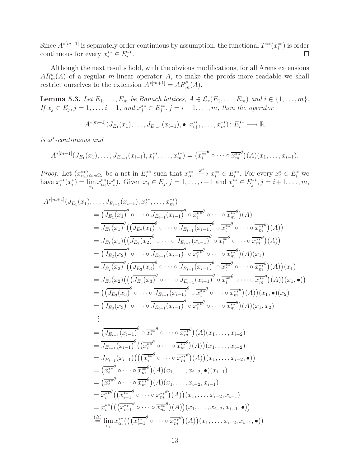Since  $A^{*[m+1]}$  is separately order continuous by assumption, the functional  $T^{**}(x_i^{**})$  is order continuous for every  $x_i^{**} \in E_i^{**}$ .  $\Box$ 

Although the next results hold, with the obvious modifications, for all Arens extensions  $AR_m^{\rho}(A)$  of a regular m-linear operator A, to make the proofs more readable we shall restrict ourselves to the extension  $A^{*[m+1]} = AR_m^{\theta}(A)$ .

<span id="page-12-0"></span>**Lemma 5.3.** *Let*  $E_1, \ldots, E_m$  *be Banach lattices,*  $A \in \mathcal{L}_r(E_1, \ldots, E_m)$  *and*  $i \in \{1, \ldots, m\}$ *. If*  $x_j \in E_j, j = 1, ..., i - 1$ , and  $x_j^{**} \in E_j^{**}, j = i + 1, ..., m$ , then the operator

$$
A^{*[m+1]}(J_{E_1}(x_1),\ldots,J_{E_{i-1}}(x_{i-1}),\bullet,x_{i+1}^{**},\ldots,x_m^{**})\colon E_i^{**}\longrightarrow \mathbb{R}
$$

*is* ω ∗ *-continuous and*

$$
A^{*[m+1]}(J_{E_1}(x_1),\ldots,J_{E_{i-1}}(x_{i-1}),x_i^{**},\ldots,x_m^{**}) = (\overline{x_i^{**}}^{\theta} \circ \cdots \circ \overline{x_m^{**}}^{\theta})(A)(x_1,\ldots,x_{i-1}).
$$

*Proof.* Let  $(x_{\alpha_i}^{**})_{\alpha_i \in \Omega_i}$  be a net in  $E_i^{**}$  such that  $x_{\alpha_i}^{**}$  $x_i^* \in E_i^{**}$ . For every  $x_i^* \in E_i^*$  we have  $x_i^{**}(x_i^*) = \lim_{\alpha_i} x_{\alpha_i}^{**}(x_i^*)$ . Given  $x_j \in E_j, j = 1, \ldots, i-1$  and  $x_j^{**} \in E_j^{**}, j = i+1, \ldots, m$ ,

$$
A^{*[m+1]}(J_{E_{1}}(x_{1}),...,J_{E_{i-1}}(x_{i-1}),x_{i}^{**},...,x_{m}^{**})
$$
\n
$$
= (\overline{J_{E_{1}}(x_{1})}^{\theta} \circ \cdots \circ \overline{J_{E_{i-1}}(x_{i-1})}^{\theta} \circ \overline{J_{E_{i-1}}^{**}} \circ \cdots \circ \overline{J_{E_{i-1}}^{**}}) (A)
$$
\n
$$
= J_{E_{1}}(x_{1}) \Big( (\overline{J_{E_{2}}(x_{1})}^{\theta} \circ \cdots \circ \overline{J_{E_{i-1}}(x_{i-1})}^{\theta} \circ \overline{J_{E_{i}^{**}}}^{\theta} \circ \cdots \circ \overline{J_{E_{m}^{**}}}^{\theta}) (A) \Big)
$$
\n
$$
= J_{E_{1}}(x_{1}) \Big( (\overline{J_{E_{2}}(x_{2})}^{\theta} \circ \cdots \circ \overline{J_{E_{i-1}}(x_{i-1})}^{\theta} \circ \overline{J_{E_{i}^{**}}}^{\theta} \circ \cdots \circ \overline{J_{E_{m}^{**}}}^{\theta}) (A) \Big)
$$
\n
$$
= (\overline{J_{E_{2}}(x_{2})}^{\theta} \Big( (\overline{J_{E_{3}}(x_{3})}^{\theta} \circ \cdots \circ \overline{J_{E_{i-1}}(x_{i-1})}^{\theta} \circ \overline{J_{E_{i}^{**}}}^{\theta} \circ \cdots \circ \overline{J_{E_{m}^{**}}}^{\theta}) (A) (x_{1})
$$
\n
$$
= J_{E_{2}}(x_{2}) \Big( ((\overline{J_{E_{3}}(x_{3})}^{\theta} \circ \cdots \circ \overline{J_{E_{i-1}}(x_{i-1})}^{\theta} \circ \overline{J_{E_{i}^{**}}}^{\theta} \circ \cdots \circ \overline{J_{E_{m}^{**}}}^{\theta}) (A) \Big) (x_{1}, \bullet) \Big)
$$
\n
$$
= ((\overline{J_{E_{2}}(x_{2})}^{\theta} \Big( ((\overline{J_{E_{3}}(x_{3})}^{\theta} \circ \cdots \circ \overline{J_{E_{i-1}}(x_{i-1})}^
$$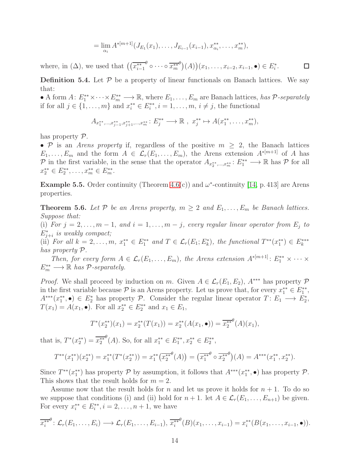$$
= \lim_{\alpha_i} A^{*[m+1]}(J_{E_1}(x_1),\ldots,J_{E_{i-1}}(x_{i-1}),x_{\alpha_i}^{**},\ldots,x_m^{**}),
$$

 $\theta$  o  $\cdots$  o  $\overline{x_m^{**}}$ where, in  $(\Delta)$ , we used that  $(\left(\overline{x_{i-1}^{**}}\right)$  $\big( \theta \big) (A) \big) (x_1, \ldots, x_{i-2}, x_{i-1}, \bullet) \in E_i^*.$  $\Box$ 

**Definition 5.4.** Let  $P$  be a property of linear functionals on Banach lattices. We say that:

• A form  $A: E_1^{**}\times \cdots \times E_m^{**} \longrightarrow \mathbb{R}$ , where  $E_1,\ldots,E_m$  are Banach lattices, *has*  $\mathcal{P}$ -separately if for all  $j \in \{1, ..., m\}$  and  $x_i^{**} \in E_i^{**}, i = 1, ..., m, i \neq j$ , the functional

$$
A_{x_1^{**},...,x_{j-1}^{**},x_{j+1}^{**},...,x_m^{**}}: E_j^{**} \longrightarrow \mathbb{R}, x_j^{**} \mapsto A(x_1^{**},...,x_m^{**}),
$$

has property P.

• P is an *Arens property* if, regardless of the positive  $m \geq 2$ , the Banach lattices  $E_1, \ldots, E_m$  and the form  $A \in \mathcal{L}_r(E_1, \ldots, E_m)$ , the Arens extension  $A^{*[m+1]}$  of A has P in the first variable, in the sense that the operator  $A_{x_2^*,...,x_m^*}: E_1^{**} \longrightarrow \mathbb{R}$  has P for all  $x_2^{**} \in E_2^{**}, \ldots, x_m^{**} \in E_m^{**}.$ 

**Example 5.5.** Order continuity (Theorem [4.6\(](#page-8-0)c)) and  $\omega^*$ -continuity [\[14,](#page-20-0) p. 413] are Arens properties.

<span id="page-13-0"></span>**Theorem 5.6.** Let P be an Arens property,  $m \geq 2$  and  $E_1, \ldots, E_m$  be Banach lattices. *Suppose that:*

(i) *For*  $j = 2, \ldots, m - 1$ , and  $i = 1, \ldots, m - j$ , every regular linear operator from  $E_j$  to E<sup>∗</sup> *is weakly compact;*  $j+i$ 

(ii) For all  $k = 2, \ldots, m$ ,  $x_1^{**} \in E_1^{**}$  and  $T \in \mathcal{L}_r(E_1; E_k^*)$ , the functional  $T^{**}(x_1^{**}) \in E_k^{***}$ *has property* P*.*

*Then, for every form*  $A \in \mathcal{L}_r(E_1, \ldots, E_m)$ , the Arens extension  $A^{*[m+1]}$ :  $E_1^{**} \times \cdots \times$  $E_m^{**} \longrightarrow \mathbb{R}$  *has*  $\mathcal{P}$ -separately.

*Proof.* We shall proceed by induction on m. Given  $A \in \mathcal{L}_r(E_1, E_2)$ ,  $A^{***}$  has property  $\mathcal P$ in the first variable because  $P$  is an Arens property. Let us prove that, for every  $x_1^{**} \in E_1^{**}$ ,  $A^{***}(x_1^{**},\bullet) \in E_2^*$  has property P. Consider the regular linear operator  $T: E_1 \longrightarrow E_2^*$ ,  $T(x_1) = A(x_1, \bullet)$ . For all  $x_2^{**} \in E_2^{**}$  and  $x_1 \in E_1$ ,

$$
T^*(x_2^{**})(x_1) = x_2^{**}(T(x_1)) = x_2^{**}(A(x_1, \bullet)) = \overline{x_2^{**}}^{\theta}(A)(x_1),
$$

that is,  $T^*(x_2^{**}) = \overline{x_2^{**}}$  $^{\theta}(A)$ . So, for all  $x_1^{**} \in E_1^{**}, x_2^{**} \in E_2^{**}$ ,

$$
T^{**}(x_1^{**})(x_2^{**}) = x_1^{**}(T^*(x_2^{**})) = x_1^{**}\left(\overline{x_2^{**}}^{\theta}(A)\right) = \left(\overline{x_1^{**}}^{\theta} \circ \overline{x_2^{**}}^{\theta}\right)(A) = A^{***}(x_1^{**}, x_2^{**}).
$$

Since  $T^{**}(x_1^{**})$  has property  $P$  by assumption, it follows that  $A^{***}(x_1^{**}, \bullet)$  has property  $P$ . This shows that the result holds for  $m = 2$ .

Assume now that the result holds for n and let us prove it holds for  $n + 1$ . To do so we suppose that conditions (i) and (ii) hold for  $n + 1$ . let  $A \in \mathcal{L}_r(E_1, \ldots, E_{n+1})$  be given. For every  $x_i^{**} \in E_i^{**}, i = 2, ..., n + 1$ , we have

$$
\overline{x_i^{**}}^{\theta} \colon \mathcal{L}_r(E_1,\ldots,E_i) \longrightarrow \mathcal{L}_r(E_1,\ldots,E_{i-1}), \overline{x_i^{**}}^{\theta}(B)(x_1,\ldots,x_{i-1}) = x_i^{**}(B(x_1,\ldots,x_{i-1},\bullet)).
$$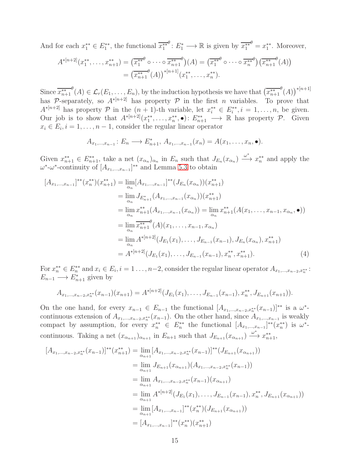And for each  $x_1^{**} \in E_1^{**}$ , the functional  $\overline{x_1^{**}}$  $\theta: E_1^* \longrightarrow \mathbb{R}$  is given by  $\overline{x_1^{**}}$  $\theta = x_1^{**}$ . Moreover,

$$
A^{*[n+2]}(x_1^{**},\ldots,x_{n+1}^{**}) = (\overline{x_1^{**}}^{\theta} \circ \cdots \circ \overline{x_{n+1}^{**}}^{\theta})(A) = (\overline{x_1^{**}}^{\theta} \circ \cdots \circ \overline{x_n^{**}}^{\theta})(\overline{x_{n+1}^{**}}^{\theta}(A))
$$
  
= 
$$
(\overline{x_{n+1}^{**}}^{\theta}(A))^{*[n+1]}(x_1^{**},\ldots,x_n^{**}).
$$

Since  $\overline{x_{n+1}^{**}}$  $\mathcal{P}(A) \in \mathcal{L}_r(E_1, \ldots, E_n)$ , by the induction hypothesis we have that  $\left(\overline{x_{n+1}^{**}}\right)$  $^{\theta}(A))^*^{[n+1]}$ has P-separately, so  $A^{*[n+2]}$  has property P in the first n variables. To prove that  $A^{*[n+2]}$  has property  $P$  in the  $(n + 1)$ -th variable, let  $x_i^{**} \in E_i^{**}, i = 1, \ldots, n$ , be given. Our job is to show that  $A^{*[n+2]}(x_1^{**},\ldots,x_n^{**},\bullet)$ :  $E_{n+1}^{**}\longrightarrow \mathbb{R}$  has property  $\mathcal{P}$ . Given  $x_i \in E_i, i = 1, \ldots, n-1$ , consider the regular linear operator

<span id="page-14-0"></span>
$$
A_{x_1,...,x_{n-1}}: E_n \longrightarrow E_{n+1}^*, A_{x_1,...,x_{n-1}}(x_n) = A(x_1,...,x_n, \bullet).
$$

Given  $x_{n+1}^{**} \in E_{n+1}^{**}$ , take a net  $(x_{\alpha_n})_{\alpha_n}$  in  $E_n$  such that  $J_{E_n}(x_{\alpha_n}) \xrightarrow{\omega^*} x_n^{**}$  and apply the  $\omega^*$ - $\omega^*$ -continuity of  $[A_{x_1,...,x_{n-1}}]^{**}$  and Lemma [5.3](#page-12-0) to obtain

$$
[A_{x_1,...,x_{n-1}}]^{**}(x_n^{**})(x_{n+1}^{**}) = \lim_{\alpha_n} [A_{x_1,...,x_{n-1}}]^{**}(J_{E_n}(x_{\alpha_n}))(x_{n+1}^{**})
$$
  
\n
$$
= \lim_{\alpha_n} J_{E_{n+1}}^{**}(A_{x_1,...,x_{n-1}}(x_{\alpha_n}))(x_{n+1}^{**})
$$
  
\n
$$
= \lim_{\alpha_n} x_{n+1}^{**}(A_{x_1,...,x_{n-1}}(x_{\alpha_n})) = \lim_{\alpha_n} x_{n+1}^{**}(A(x_1,...,x_{n-1},x_{\alpha_n},\bullet))
$$
  
\n
$$
= \lim_{\alpha_n} \overline{x_{n+1}}^{**}(A)(x_1,...,x_{n-1},x_{\alpha_n})
$$
  
\n
$$
= \lim_{\alpha_n} A^{*(n+2)}(J_{E_1}(x_1),...,J_{E_{n-1}}(x_{n-1}),J_{E_n}(x_{\alpha_n}),x_{n+1}^{**})
$$
  
\n
$$
= A^{*(n+2)}(J_{E_1}(x_1),...,J_{E_{n-1}}(x_{n-1}),x_n^{**},x_{n+1}^{**}).
$$
\n(4)

For  $x_n^{**} \in E_n^{**}$  and  $x_i \in E_i$ ,  $i = 1 \ldots, n-2$ , consider the regular linear operator  $A_{x_1,...,x_{n-2},x_n^{**}}$ :  $E_{n-1} \longrightarrow E_{n+1}^*$  given by

$$
A_{x_1,\ldots,x_{n-2},x_n^{**}}(x_{n-1})(x_{n+1})=A^{*(n+2)}(J_{E_1}(x_1),\ldots,J_{E_{n-1}}(x_{n-1}),x_n^{**},J_{E_{n+1}}(x_{n+1})).
$$

On the one hand, for every  $x_{n-1} \in E_{n-1}$  the functional  $[A_{x_1,...,x_{n-2},x_n^{**}}(x_{n-1})]^{**}$  is a  $\omega^*$ continuous extension of  $A_{x_1,...,x_{n-2},x_n^{**}}(x_{n-1})$ . On the other hand, since  $A_{x_1,...,x_{n-1}}$  is weakly compact by assumption, for every  $x_n^{**} \in E_n^{**}$  the functional  $[A_{x_1,...,x_{n-1}}]^{**}(x_n^{**})$  is  $\omega^*$ continuous. Taking a net  $(x_{\alpha_{n+1}})_{\alpha_{n+1}}$  in  $E_{n+1}$  such that  $J_{E_{n+1}}(x_{\alpha_{n+1}}) \xrightarrow{\omega^*} x_{n+1}^{**}$ ,

$$
[A_{x_1,...,x_{n-2},x_n^{**}}(x_{n-1})]^{**}(x_{n+1}^{**}) = \lim_{\alpha_{n+1}} [A_{x_1,...,x_{n-2},x_n^{**}}(x_{n-1})]^{**}(J_{E_{n+1}}(x_{\alpha_{n+1}}))
$$
  
\n
$$
= \lim_{\alpha_{n+1}} J_{E_{n+1}}(x_{\alpha_{n+1}}) (A_{x_1,...,x_{n-2},x_n^{**}}(x_{n-1}))
$$
  
\n
$$
= \lim_{\alpha_{n+1}} A_{x_1,...,x_{n-2},x_n^{**}}(x_{n-1})(x_{\alpha_{n+1}})
$$
  
\n
$$
= \lim_{\alpha_{n+1}} A^{*(n+2)}(J_{E_1}(x_1),..., J_{E_{n-1}}(x_{n-1}),x_n^{**}, J_{E_{n+1}}(x_{\alpha_{n+1}}))
$$
  
\n
$$
= \lim_{\alpha_{n+1}} [A_{x_1,...,x_{n-1}}]^{**}(x_n^{**})(J_{E_{n+1}}(x_{\alpha_{n+1}}))
$$
  
\n
$$
= [A_{x_1,...,x_{n-1}}]^{**}(x_n^{**})(x_{n+1}^{**})
$$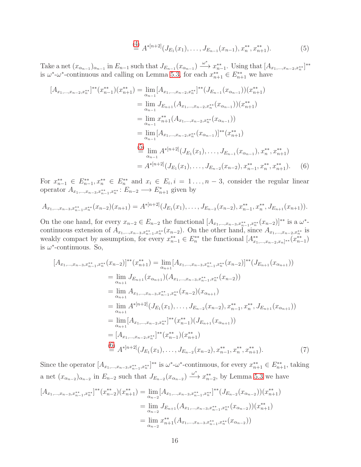<span id="page-15-1"></span><span id="page-15-0"></span>
$$
\stackrel{\text{(4)}}{=} A^{*[n+2]}(J_{E_1}(x_1),\ldots,J_{E_{n-1}}(x_{n-1}),x_n^{**},x_{n+1}^{**}).\tag{5}
$$

Take a net  $(x_{\alpha_{n-1}})_{\alpha_{n-1}}$  in  $E_{n-1}$  such that  $J_{E_{n-1}}(x_{\alpha_{n-1}}) \xrightarrow{\omega^*} x_{n-1}^{**}$ . Using that  $[A_{x_1,...,x_{n-2},x_n^{**}}]^{**}$ is  $\omega^*$ - $\omega^*$ -continuous and calling on Lemma [5.3,](#page-12-0) for each  $x_{n+1}^{**} \in E_{n+1}^{**}$  we have

$$
[A_{x_1,...,x_{n-2},x_n^{**}}]^{**}(x_{n-1}^{**})(x_{n+1}^{**}) = \lim_{\alpha_{n-1}} [A_{x_1,...,x_{n-2},x_n^{**}}]^{**}(J_{E_{n-1}}(x_{\alpha_{n-1}}))(x_{n+1}^{**})
$$
  
\n
$$
= \lim_{\alpha_{n-1}} J_{E_{n+1}}(A_{x_1,...,x_{n-2},x_n^{**}}(x_{\alpha_{n-1}}))(x_{n+1}^{**})
$$
  
\n
$$
= \lim_{\alpha_{n-1}} x_{n+1}^{**}(A_{x_1,...,x_{n-2},x_n^{**}}(x_{\alpha_{n-1}}))
$$
  
\n
$$
= \lim_{\alpha_{n-1}} [A_{x_1,...,x_{n-2},x_n^{**}}(x_{\alpha_{n-1}})]^{**}(x_{n+1}^{**})
$$
  
\n
$$
\stackrel{(5)}{=} \lim_{\alpha_{n-1}} A^{*(n+2)}(J_{E_1}(x_1),..., J_{E_{n-2}}(x_{n-2}), x_{n-1}^{**}, x_n^{**}, x_{n+1}^{**}).
$$
  
\n
$$
= A^{*(n+2)}(J_{E_1}(x_1),..., J_{E_{n-2}}(x_{n-2}), x_{n-1}^{**}, x_n^{**}, x_{n+1}^{**}).
$$
  
\n(6)

For  $x_{n-1}^{**} \in E_{n-1}^{**}$ ,  $x_n^{**} \in E_n^{**}$  and  $x_i \in E_i$ ,  $i = 1, ..., n-3$ , consider the regular linear operator  $A_{x_1,...,x_{n-3},x_{n-1}^{**},x_n^{**}}$ :  $E_{n-2} \longrightarrow E_{n+1}^*$  given by

$$
A_{x_1,\ldots,x_{n-3},x_{n-1}^*x_n^*}(x_{n-2})(x_{n+1})=A^{*[n+2]}(J_{E_1}(x_1),\ldots,J_{E_{n-2}}(x_{n-2}),x_{n-1}^*,x_n^*,J_{E_{n+1}}(x_{n+1})).
$$

On the one hand, for every  $x_{n-2} \in E_{n-2}$  the functional  $[A_{x_1,...,x_{n-3},x_{n-1}^*,x_n^*}(x_{n-2})]^{**}$  is a  $\omega^*$ continuous extension of  $A_{x_1,...,x_{n-3},x_{n-1}^{**},x_n^{**}}(x_{n-2})$ . On the other hand, since  $A_{x_1,...,x_{n-2},x_n^{**}}$  is weakly compact by assumption, for every  $x_{n-1}^{**} \in E_n^{**}$  the functional  $[A^{**}_{x_1,...,x_{n-2},x_n]^{**}}(x_{n-1}^{**})$ is  $\omega^*$ -continuous. So,

$$
[A_{x_1,...,x_{n-3},x_{n-1}^{**},x_n^{**}}(x_{n-2})]^{**}(x_{n+1}^{**}) = \lim_{\alpha_{n+1}} [A_{x_1,...,x_{n-3},x_{n-1}^{**},x_n^{**}}(x_{n-2})]^{**}(J_{E_{n+1}}(x_{\alpha_{n+1}}))
$$
  
\n
$$
= \lim_{\alpha_{n+1}} J_{E_{n+1}}(x_{\alpha_{n+1}})(A_{x_1,...,x_{n-3},x_{n-1}^{**},x_n^{**}}(x_{n-2}))
$$
  
\n
$$
= \lim_{\alpha_{n+1}} A_{x_1,...,x_{n-3},x_{n-1}^{**},x_n^{**}}(x_{n-2})(x_{\alpha_{n+1}})
$$
  
\n
$$
= \lim_{\alpha_{n+1}} A^{*(n+2)}(J_{E_1}(x_1),...,J_{E_{n-2}}(x_{n-2}),x_{n-1}^{**},x_n^{**},J_{E_{n+1}}(x_{\alpha_{n+1}}))
$$
  
\n
$$
= \lim_{\alpha_{n+1}} [A_{x_1,...,x_{n-2},x_n^{**}}]^{**}(x_{n-1}^{**})(J_{E_{n+1}}(x_{\alpha_{n+1}}))
$$
  
\n
$$
= [A_{x_1,...,x_{n-2},x_n^{**}}]^{**}(x_{n-1}^{**})(x_{n+1}^{**})
$$
  
\n
$$
\stackrel{(6)}{=} A^{*(n+2)}(J_{E_1}(x_1),...,J_{E_{n-2}}(x_{n-2}),x_{n-1}^{**},x_n^{**},x_{n+1}^{**}).
$$
\n(7)

<span id="page-15-2"></span>Since the operator  $[A_{x_1,...,x_{n-3},x_{n-1}^{**},x_n^{**}}]^{**}$  is  $\omega^*$ - $\omega^*$ -continuous, for every  $x_{n+1}^{**} \in E_{n+1}^{**}$ , taking a net  $(x_{\alpha_{n-2}})_{\alpha_{n-2}}$  in  $E_{n-2}$  such that  $J_{E_{n-2}}(x_{\alpha_{n-2}}) \stackrel{\omega^*}{\longrightarrow} x_{n-2}^{**}$ , by Lemma [5.3](#page-12-0) we have

$$
[A_{x_1,\ldots,x_{n-3},x_{n-1}^{**},x_n^{**}}]^{**}(x_{n-2}^{**})(x_{n+1}^{**}) = \lim_{\alpha_{n-2}} [A_{x_1,\ldots,x_{n-3},x_{n-1}^{**},x_n^{**}}]^{**}(J_{E_{n-2}}(x_{\alpha_{n-2}}))(x_{n+1}^{**})
$$
  
\n
$$
= \lim_{\alpha_{n-2}} J_{E_{n+1}}(A_{x_1,\ldots,x_{n-3},x_{n-1}^{**},x_n^{**}}(x_{\alpha_{n-2}}))(x_{n+1}^{**})
$$
  
\n
$$
= \lim_{\alpha_{n-2}} x_{n+1}^{**}(A_{x_1,\ldots,x_{n-3},x_{n-1}^{**},x_n^{**}}(x_{\alpha_{n-2}}))
$$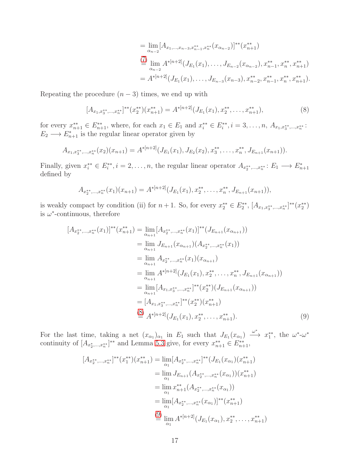$$
= \lim_{\alpha_{n-2}} [A_{x_1,\dots,x_{n-3},x_{n-1}^{**},x_n^{**}}(x_{\alpha_{n-2}})]^{**}(x_{n+1}^{**})
$$
  
\n
$$
\stackrel{(7)}{=} \lim_{\alpha_{n-2}} A^{*(n+2)}(J_{E_1}(x_1),\dots,J_{E_{n-2}}(x_{\alpha_{n-2}}),x_{n-1}^{**},x_n^{**},x_{n+1}^{**})
$$
  
\n
$$
= A^{*(n+2)}(J_{E_1}(x_1),\dots,J_{E_{n-3}}(x_{n-3}),x_{n-2}^{**},x_{n-1}^{**},x_n^{**},x_{n+1}^{**}).
$$

Repeating the procedure  $(n-3)$  times, we end up with

<span id="page-16-0"></span>
$$
[A_{x_1,x_3^{**},\ldots,x_n^{**}}]^{**}(x_2^{**})(x_{n+1}^{**}) = A^{*[n+2]}(J_{E_1}(x_1),x_2^{**},\ldots,x_{n+1}^{**}),
$$
\n(8)

for every  $x_{n+1}^{**} \in E_{n+1}^{**}$ , where, for each  $x_1 \in E_1$  and  $x_i^{**} \in E_i^{**}$ ,  $i = 3, ..., n$ ,  $A_{x_1, x_3^{**}, ..., x_n^{**}}$ :  $E_2 \longrightarrow E_{n+1}^*$  is the regular linear operator given by

$$
A_{x_1,x_3^{**},...,x_n^{**}}(x_2)(x_{n+1})=A^{*[n+2]}(J_{E_1}(x_1),J_{E_2}(x_2),x_3^{**},\ldots,x_n^{**},J_{E_{n+1}}(x_{n+1})).
$$

Finally, given  $x_i^{**} \in E_i^{**}, i = 2, \ldots, n$ , the regular linear operator  $A_{x_2^{**},...,x_n^{**}}: E_1 \longrightarrow E_{n+1}^*$ defined by

$$
A_{x_2^{**},...,x_n^{**}}(x_1)(x_{n+1})=A^{*[n+2]}(J_{E_1}(x_1),x_2^{**},...,x_n^{**},J_{E_{n+1}}(x_{n+1})),
$$

is weakly compact by condition (ii) for  $n+1$ . So, for every  $x_2^{**} \in E_2^{**}$ ,  $[A_{x_1,x_3^{**},...,x_n^{**}}]^{**}(x_2^{**})$ is  $\omega^*$ -continuous, therefore

$$
[A_{x_{2}^{**},...,x_{n}^{**}}(x_{1})]^{**}(x_{n+1}^{**}) = \lim_{\alpha_{n+1}} [A_{x_{2}^{**},...,x_{n}^{**}}(x_{1})]^{**}(J_{E_{n+1}}(x_{\alpha_{n+1}}))
$$
  
\n
$$
= \lim_{\alpha_{n+1}} J_{E_{n+1}}(x_{\alpha_{n+1}})(A_{x_{2}^{**},...,x_{n}^{**}}(x_{1}))
$$
  
\n
$$
= \lim_{\alpha_{n+1}} A_{x_{2}^{**},...,x_{n}^{**}}(x_{1})(x_{\alpha_{n+1}})
$$
  
\n
$$
= \lim_{\alpha_{n+1}} A^{*(n+2)}(J_{E_{1}}(x_{1}), x_{2}^{**},..., x_{n}^{**}, J_{E_{n+1}}(x_{\alpha_{n+1}}))
$$
  
\n
$$
= \lim_{\alpha_{n+1}} [A_{x_{1},x_{3}^{**},...,x_{n}^{**}}]^{**}(x_{2}^{**})(J_{E_{n+1}}(x_{\alpha_{n+1}}))
$$
  
\n
$$
= [A_{x_{1},x_{3}^{**},...,x_{n}^{**}}]^{**}(x_{2}^{**})(x_{n+1}^{**})
$$
  
\n
$$
\stackrel{\text{(8)}}{=} A^{*(n+2)}(J_{E_{1}}(x_{1}), x_{2}^{**},..., x_{n+1}^{**}). \tag{9}
$$

For the last time, taking a net  $(x_{\alpha_1})_{\alpha_1}$  in  $E_1$  such that  $J_{E_1}(x_{\alpha_1}) \stackrel{\omega^*}{\longrightarrow} x_1^{**}$ , the  $\omega^*$ - $\omega^*$ continuity of  $[A_{x_2^*,...,x_n^{**}}]^{**}$  and Lemma [5.3](#page-12-0) give, for every  $x_{n+1}^{**} \in E_{n+1}^{**}$ ,

<span id="page-16-1"></span>
$$
[A_{x_2^{**},...,x_n^{**}}]^{**}(x_1^{**})(x_{n+1}^{**}) = \lim_{\alpha_1} [A_{x_2^{**},...,x_n^{**}}]^{**}(J_{E_1}(x_{\alpha_1})(x_{n+1}^{**})
$$
  
\n
$$
= \lim_{\alpha_1} J_{E_{n+1}}(A_{x_2^{**},...,x_n^{**}}(x_{\alpha_1}))(x_{n+1}^{**})
$$
  
\n
$$
= \lim_{\alpha_1} x_{n+1}^{**}(A_{x_2^{**},...,x_n^{**}}(x_{\alpha_1}))
$$
  
\n
$$
= \lim_{\alpha_1} [A_{x_2^{**},...,x_n^{**}}(x_{\alpha_1})]^{**}(x_{n+1}^{**})
$$
  
\n
$$
\stackrel{\text{(9)}}{=} \lim_{\alpha_1} A^{*[n+2]}(J_{E_1}(x_{\alpha_1}), x_2^{**},..., x_{n+1}^{**})
$$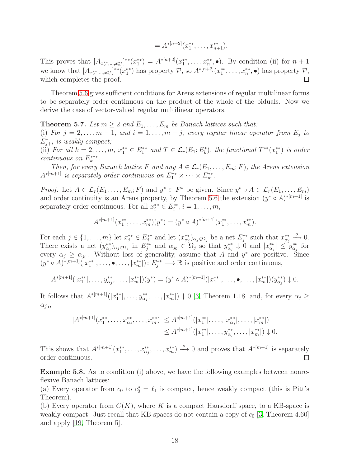$$
= A^{*[n+2]}(x_1^{**}, \ldots, x_{n+1}^{**}).
$$

This proves that  $[A_{x_2^{**},...,x_n^{**}}]^{**}(x_1^{**}) = A^{*(n+2)}(x_1^{**},...,x_n^{**},\bullet)$ . By condition (ii) for  $n+1$ we know that  $[A_{x_2^{**},...,x_n^{**}}]^{**}(x_1^{**})$  has property  $P$ , so  $A^{*[n+2]}(x_1^{**},...,x_n^{**},\bullet)$  has property  $P$ , which completes the proof.  $\Box$ 

Theorem [5.6](#page-13-0) gives sufficient conditions for Arens extensions of regular multilinear forms to be separately order continuous on the product of the whole of the biduals. Now we derive the case of vector-valued regular multilinear operators.

<span id="page-17-0"></span>**Theorem 5.7.** Let  $m \geq 2$  and  $E_1, \ldots, E_m$  be Banach lattices such that:

(i) *For*  $j = 2, \ldots, m - 1$ , and  $i = 1, \ldots, m - j$ , every regular linear operator from  $E_j$  to E<sup>∗</sup> j+i *is weakly compact;*

(ii) For all  $k = 2, \ldots, m$ ,  $x_1^{**} \in E_1^{**}$  and  $T \in \mathcal{L}_r(E_1; E_k^*)$ , the functional  $T^{**}(x_1^{**})$  is order *continuous on*  $E_k^{***}$ .

*Then, for every Banach lattice* F and any  $A \in \mathcal{L}_r(E_1, \ldots, E_m; F)$ *, the Arens extension*  $A^{*[m+1]}$  is separately order continuous on  $E_1^{**} \times \cdots \times E_m^{**}$ .

*Proof.* Let  $A \in \mathcal{L}_r(E_1, \ldots, E_m; F)$  and  $y^* \in F^*$  be given. Since  $y^* \circ A \in \mathcal{L}_r(E_1, \ldots, E_m)$ and order continuity is an Arens property, by Theorem [5.6](#page-13-0) the extension  $(y^* \circ A)^{*[m+1]}$  is separately order continuous. For all  $x_i^{**} \in E_i^{**}, i = 1, \ldots, m$ ,

$$
A^{*[m+1]}(x_1^{**},\ldots,x_m^{**})(y^*)=(y^*\circ A)^{*[m+1]}(x_1^{**},\ldots,x_m^{**}).
$$

For each  $j \in \{1, \ldots, m\}$  let  $x_j^{**} \in E_j^{**}$  and let  $(x_{\alpha_j}^{**})_{\alpha_j \in \Omega_j}$  be a net  $E_j^{**}$  such that  $x_{\alpha_j}^{**} \xrightarrow{o} 0$ . There exists a net  $(y_{\alpha_j}^{**})_{\alpha_j \in \Omega_j}$  in  $E_j^{**}$  and  $\alpha_{j_0} \in \Omega_j$  so that  $y_{\alpha_j}^{**} \downarrow 0$  and  $|x_{\alpha_j}^{**}| \leq y_{\alpha_j}^{**}$  for every  $\alpha_j \geq \alpha_{j_0}$ . Without loss of generality, assume that A and  $y^*$  are positive. Since  $(y^* \circ A)^{*[m+1]}([x_1^{**}], \ldots, \bullet, \ldots, [x_m^{**}]): E_j^{**} \longrightarrow \mathbb{R}$  is positive and order continuous,

$$
A^{*[m+1]}(|x_1^{**}|,\ldots,y_{\alpha_j}^{**},\ldots,|x_m^{**}|)(y^*)=(y^*\circ A)^{*[m+1]}(|x_1^{**}|,\ldots,\bullet,\ldots,|x_m^{**}|)(y_{\alpha_j}^{**})\downarrow 0.
$$

It follows that  $A^{*[m+1]}(|x_1^{**}|,\ldots,y_{\alpha_j}^{**},\ldots,|x_m^{**}|) \downarrow 0$  [\[3,](#page-19-4) Theorem 1.18] and, for every  $\alpha_j \geq$  $\alpha_{j_0},$ 

$$
|A^{*[m+1]}(x_1^{**},\ldots,x_{\alpha_j}^{**},\ldots,x_m^{**})| \leq A^{*[m+1]}(|x_1^{**}|,\ldots,|x_{\alpha_j}^{**}|,\ldots,|x_m^{**}|)
$$
  

$$
\leq A^{*[m+1]}(|x_1^{**}|,\ldots,y_{\alpha_j}^{**},\ldots,|x_m^{**}|) \downarrow 0.
$$

This shows that  $A^{*[m+1]}(x_1^{**},\ldots,x_{\alpha_j}^{**},\ldots,x_m^{**}) \xrightarrow{o} 0$  and proves that  $A^{*[m+1]}$  is separately order continuous.  $\Box$ 

<span id="page-17-1"></span>Example 5.8. As to condition (i) above, we have the following examples between nonreflexive Banach lattices:

(a) Every operator from  $c_0$  to  $c_0^* = \ell_1$  is compact, hence weakly compact (this is Pitt's Theorem).

(b) Every operator from  $C(K)$ , where K is a compact Hausdorff space, to a KB-space is weakly compact. Just recall that KB-spaces do not contain a copy of  $c_0$  [\[3,](#page-19-4) Theorem 4.60] and apply [\[19,](#page-20-7) Theorem 5].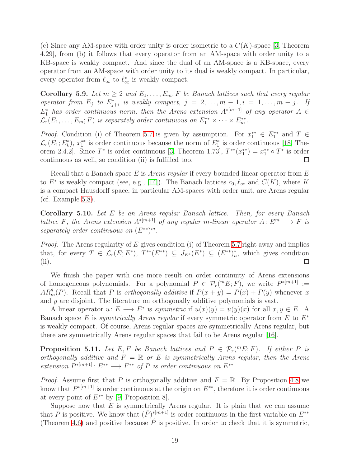(c) Since any AM-space with order unity is order isometric to a  $C(K)$ -space [\[3,](#page-19-4) Theorem 4.29], from (b) it follows that every operator from an AM-space with order unity to a KB-space is weakly compact. And since the dual of an AM-space is a KB-space, every operator from an AM-space with order unity to its dual is weakly compact. In particular, every operator from  $\ell_{\infty}$  to  $\ell_{\infty}^{*}$  is weakly compact.

Corollary 5.9. Let  $m \geq 2$  and  $E_1, \ldots, E_m, F$  be Banach lattices such that every regular *operator from*  $E_j$  to  $E_{j+i}^*$  is weakly compact,  $j = 2, ..., m-1, i = 1, ..., m-j$ . If  $E_1^*$  has order continuous norm, then the Arens extension  $A^{*[m+1]}$  of any operator  $A \in$  $\mathcal{L}_r(E_1,\ldots,E_m;F)$  is separately order continuous on  $E_1^{**}\times\cdots\times E_m^{**}$ .

*Proof.* Condition (i) of Theorem [5.7](#page-17-0) is given by assumption. For  $x_1^{**} \in E_1^{**}$  and  $T \in$  $\mathcal{L}_r(E_1; E_k^*)$ ,  $x_1^{**}$  is order continuous because the norm of  $E_1^*$  is order continuous [\[18,](#page-20-1) Theorem 2.4.2]. Since  $T^*$  is order continuous [\[3,](#page-19-4) Theorem 1.73],  $T^{**}(x_1^{**}) = x_1^{**} \circ T^*$  is order continuous as well, so condition (ii) is fulfilled too.  $\Box$ 

Recall that a Banach space E is *Arens regular* if every bounded linear operator from E to  $E^*$  is weakly compact (see, e.g., [\[14\]](#page-20-0)). The Banach lattices  $c_0, \ell_\infty$  and  $C(K)$ , where K is a compact Hausdorff space, in particular AM-spaces with order unit, are Arens regular (cf. Example [5.8\)](#page-17-1).

Corollary 5.10. *Let* E *be an Arens regular Banach lattice. Then, for every Banach lattice* F, the Arens extension  $A^{*[m+1]}$  of any regular m-linear operator  $A: E^m \longrightarrow F$  *is* separately order continuous on  $(E^{**})^m$ .

*Proof.* The Arens regularity of E gives condition (i) of Theorem [5.7](#page-17-0) right away and implies that, for every  $T \in \mathcal{L}_r(E; E^*), T^{**}(E^{**}) \subseteq J_{E^*}(E^*) \subseteq (E^{**})^*_n$ , which gives condition (ii).  $\Box$ 

We finish the paper with one more result on order continuity of Arens extensions of homogeneous polynomials. For a polynomial  $P \in \mathcal{P}_r({}^m E; F)$ , we write  $P^{*[m+1]} :=$  $AR_m^{\theta}(P)$ . Recall that P is *orthogonally additive* if  $P(x + y) = P(x) + P(y)$  whenever x and y are disjoint. The literature on orthogonally additive polynomials is vast.

A linear operator  $u: E \longrightarrow E^*$  is *symmetric* if  $u(x)(y) = u(y)(x)$  for all  $x, y \in E$ . A Banach space E is *symetrically Arens regular* if every symmetric operator from E to E<sup>∗</sup> is weakly compact. Of course, Arens regular spaces are symmetrically Arens regular, but there are symmetrically Arens regular spaces that fail to be Arens regular [\[16\]](#page-20-8).

**Proposition 5.11.** Let  $E, F$  be Banach lattices and  $P \in \mathcal{P}_r(^mE; F)$ . If either P is *orthogonally additive and* F = R *or* E *is symmetrically Arens regular, then the Arens*  $extension P^{*[m+1]} : E^{**} \longrightarrow F^{**}$  of P is order continuous on  $E^{**}$ .

*Proof.* Assume first that P is orthogonally additive and  $F = \mathbb{R}$ . By Proposition [4.8](#page-9-1) we know that  $P^{*[m+1]}$  is order continuous at the origin on  $E^{**}$ , therefore it is order continuous at every point of  $E^{**}$  by [\[9,](#page-19-8) Proposition 8].

Suppose now that  $E$  is symmetrically Arens regular. It is plain that we can assume that P is positive. We know that  $(\check{P})^{*[m+1]}$  is order continuous in the first variable on  $E^{**}$ (Theorem [4.6\)](#page-8-0) and positive because  $\check{P}$  is positive. In order to check that it is symmetric,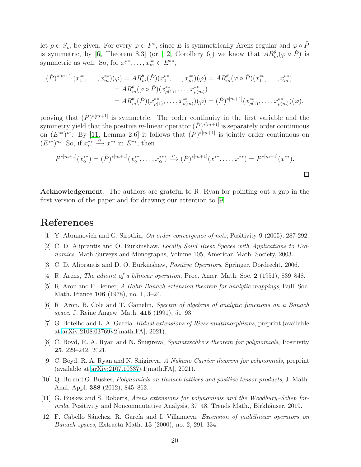let  $\rho \in S_m$  be given. For every  $\varphi \in F^*$ , since E is symmetrically Arens regular and  $\varphi \circ \check{P}$ is symmetric, by [\[6,](#page-19-9) Theorem 8.3] (or [\[12,](#page-19-10) Corollary 6]) we know that  $AR_m^{\theta}(\varphi \circ \check{P})$  is symmetric as well. So, for  $x_1^{**}, \ldots, x_m^{**} \in E^{**}$ ,

$$
(\check{P})^{*[m+1]}(x_1^{**},\ldots,x_m^{**})(\varphi) = AR_m^{\theta}(\check{P})(x_1^{**},\ldots,x_m^{**})(\varphi) = AR_m^{\theta}(\varphi \circ \check{P})(x_1^{**},\ldots,x_m^{**})
$$
  
\n
$$
= AR_m^{\theta}(\varphi \circ \check{P})(x_{\rho(1)}^{**},\ldots,x_{\rho(m)}^{**})
$$
  
\n
$$
= AR_m^{\theta}(\check{P})(x_{\rho(1)}^{**},\ldots,x_{\rho(m)}^{**})(\varphi) = (\check{P})^{*[m+1]}(x_{\rho(1)}^{**},\ldots,x_{\rho(m)}^{**})(\varphi),
$$

proving that  $(\check{P})^{*(m+1)}$  is symmetric. The order continuity in the first variable and the symmetry yield that the positive m-linear operator  $(\check{P})^{*[m+1]}$  is separately order continuous on  $(E^{**})^m$ . By [\[11,](#page-19-1) Lemma 2.6] it follows that  $(\check{P})^{*(m+1)}$  is jointly order continuous on  $(E^{**})^m$ . So, if  $x_{\alpha}^{**} \xrightarrow{o} x^{**}$  in  $E^{**}$ , then

$$
P^{*[m+1]}(x_{\alpha}^{**}) = (\check{P})^{*[m+1]}(x_{\alpha}^{**}, \dots, x_{\alpha}^{**}) \xrightarrow{o} (\check{P})^{*[m+1]}(x^{**}, \dots, x^{**}) = P^{*[m+1]}(x^{**}).
$$

Acknowledgement. The authors are grateful to R. Ryan for pointing out a gap in the first version of the paper and for drawing our attention to [\[9\]](#page-19-8).

## <span id="page-19-5"></span>References

- [1] Y. Abramovich and G. Sirotkin, On order convergence of nets, Positivity 9 (2005), 287-292.
- <span id="page-19-4"></span>[2] C. D. Aliprantis and O. Burkinshaw, Locally Solid Riesz Spaces with Applications to Economics, Math Surveys and Monographs, Volume 105, American Math. Society, 2003.
- <span id="page-19-0"></span>[3] C. D. Aliprantis and D. O. Burkinshaw, Positive Operators, Springer, Dordrecht, 2006.
- <span id="page-19-3"></span>[4] R. Arens, *The adjoint of a bilinear operation*, Proc. Amer. Math. Soc. 2 (1951), 839–848.
- <span id="page-19-9"></span>[5] R. Aron and P. Berner, A Hahn-Banach extension theorem for analytic mappings, Bull. Soc. Math. France 106 (1978), no. 1, 3–24.
- <span id="page-19-7"></span>[6] R. Aron, B. Cole and T. Gamelin, Spectra of algebras of analytic functions on a Banach space, J. Reine Angew. Math. 415 (1991), 51–93.
- <span id="page-19-2"></span>[7] G. Botelho and L. A. Garcia. Bidual extensions of Riesz multimorphisms, preprint (available at [arXiv:2108.03769v](http://arxiv.org/abs/2108.03769)2[math.FA], 2021).
- <span id="page-19-8"></span>[8] C. Boyd, R. A. Ryan and N. Snigireva, Synnatzschke's theorem for polynomials, Positivity 25, 229–242, 2021.
- <span id="page-19-6"></span>[9] C. Boyd, R. A. Ryan and N. Snigireva, A Nakano Carrier theorem for polynomials, preprint (available at [arXiv:2107.10337v](http://arxiv.org/abs/2107.10337)1[math.FA], 2021).
- <span id="page-19-1"></span>[10] Q. Bu and G. Buskes, Polynomials on Banach lattices and positive tensor products, J. Math. Anal. Appl. 388 (2012), 845–862.
- <span id="page-19-10"></span>[11] G. Buskes and S. Roberts, Arens extensions for polynomials and the Woodbury–Schep formula, Positivity and Noncommutative Analysis, 37–48, Trends Math., Birkhäuser, 2019.
- [12] F. Cabello Sánchez, R. García and I. Villanueva, *Extension of multilinear operators on* Banach spaces, Extracta Math. 15 (2000), no. 2, 291–334.